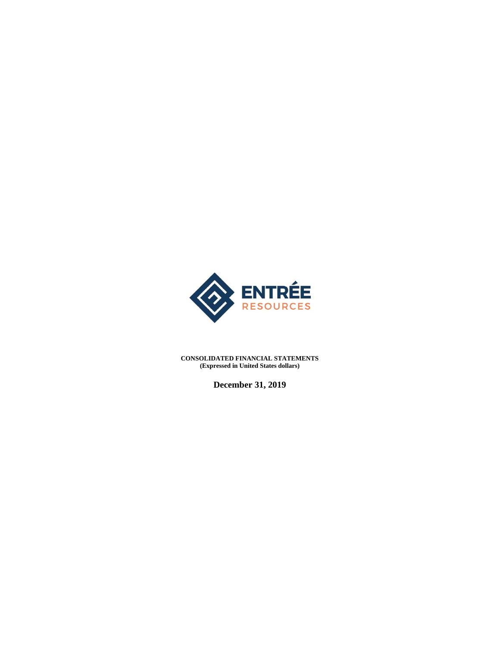

**CONSOLIDATED FINANCIAL STATEMENTS (Expressed in United States dollars)** 

**December 31, 2019**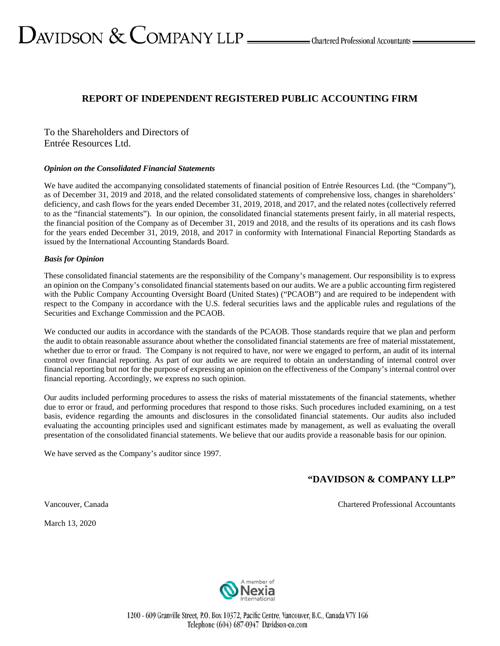# $\sum$ AVIDSON  $\&$   $\sum$ OMPANY LLP  $\frac{1}{\sum_{\text{C} \in \mathcal{C}}\sum_{\text{C} \in \mathcal{C}}\sum_{\text{D} \in \mathcal{C}}\sum_{\text{D} \in \mathcal{C}}\sum_{\text{D} \in \mathcal{C}}\sum_{\text{D} \in \mathcal{C}}\sum_{\text{D} \in \mathcal{C}}\sum_{\text{D} \in \mathcal{C}}\sum_{\text{D} \in \mathcal{C}}\sum_{\text{D} \in \mathcal{C}}\sum_{\text{D} \in \mathcal{C}}\sum_{\text{D$

# **REPORT OF INDEPENDENT REGISTERED PUBLIC ACCOUNTING FIRM**

To the Shareholders and Directors of Entrée Resources Ltd.

### *Opinion on the Consolidated Financial Statements*

We have audited the accompanying consolidated statements of financial position of Entrée Resources Ltd. (the "Company"), as of December 31, 2019 and 2018, and the related consolidated statements of comprehensive loss, changes in shareholders' deficiency, and cash flows for the years ended December 31, 2019, 2018, and 2017, and the related notes (collectively referred to as the "financial statements"). In our opinion, the consolidated financial statements present fairly, in all material respects, the financial position of the Company as of December 31, 2019 and 2018, and the results of its operations and its cash flows for the years ended December 31, 2019, 2018, and 2017 in conformity with International Financial Reporting Standards as issued by the International Accounting Standards Board.

### *Basis for Opinion*

These consolidated financial statements are the responsibility of the Company's management. Our responsibility is to express an opinion on the Company's consolidated financial statements based on our audits. We are a public accounting firm registered with the Public Company Accounting Oversight Board (United States) ("PCAOB") and are required to be independent with respect to the Company in accordance with the U.S. federal securities laws and the applicable rules and regulations of the Securities and Exchange Commission and the PCAOB.

We conducted our audits in accordance with the standards of the PCAOB. Those standards require that we plan and perform the audit to obtain reasonable assurance about whether the consolidated financial statements are free of material misstatement, whether due to error or fraud. The Company is not required to have, nor were we engaged to perform, an audit of its internal control over financial reporting. As part of our audits we are required to obtain an understanding of internal control over financial reporting but not for the purpose of expressing an opinion on the effectiveness of the Company's internal control over financial reporting. Accordingly, we express no such opinion.

Our audits included performing procedures to assess the risks of material misstatements of the financial statements, whether due to error or fraud, and performing procedures that respond to those risks. Such procedures included examining, on a test basis, evidence regarding the amounts and disclosures in the consolidated financial statements. Our audits also included evaluating the accounting principles used and significant estimates made by management, as well as evaluating the overall presentation of the consolidated financial statements. We believe that our audits provide a reasonable basis for our opinion.

We have served as the Company's auditor since 1997.

# **"DAVIDSON & COMPANY LLP"**

Vancouver, Canada Chartered Professional Accountants

March 13, 2020



1200 - 609 Granville Street, P.O. Box 10372, Pacific Centre, Vancouver, B.C., Canada V7Y 1G6 Telephone (604) 687-0947 Davidson-co.com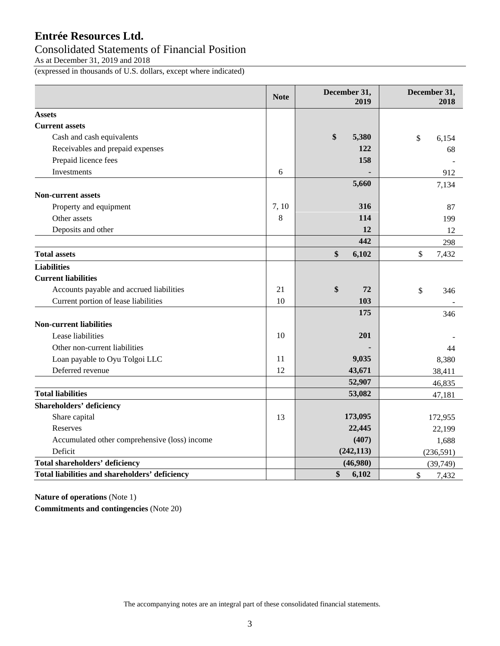### Consolidated Statements of Financial Position

As at December 31, 2019 and 2018

(expressed in thousands of U.S. dollars, except where indicated)

|                                                | <b>Note</b> | December 31,<br>2019 | December 31,<br>2018 |
|------------------------------------------------|-------------|----------------------|----------------------|
| <b>Assets</b>                                  |             |                      |                      |
| <b>Current assets</b>                          |             |                      |                      |
| Cash and cash equivalents                      |             | \$<br>5,380          | \$<br>6,154          |
| Receivables and prepaid expenses               |             | 122                  | 68                   |
| Prepaid licence fees                           |             | 158                  |                      |
| Investments                                    | 6           |                      | 912                  |
|                                                |             | 5,660                | 7,134                |
| <b>Non-current assets</b>                      |             |                      |                      |
| Property and equipment                         | 7, 10       | 316                  | 87                   |
| Other assets                                   | 8           | 114                  | 199                  |
| Deposits and other                             |             | 12                   | 12                   |
|                                                |             | 442                  | 298                  |
| <b>Total assets</b>                            |             | \$<br>6,102          | \$<br>7,432          |
| <b>Liabilities</b>                             |             |                      |                      |
| <b>Current liabilities</b>                     |             |                      |                      |
| Accounts payable and accrued liabilities       | 21          | \$<br>72             | \$<br>346            |
| Current portion of lease liabilities           | 10          | 103                  |                      |
|                                                |             | 175                  | 346                  |
| <b>Non-current liabilities</b>                 |             |                      |                      |
| Lease liabilities                              | 10          | 201                  |                      |
| Other non-current liabilities                  |             |                      | 44                   |
| Loan payable to Oyu Tolgoi LLC                 | 11          | 9,035                | 8,380                |
| Deferred revenue                               | 12          | 43,671               | 38,411               |
|                                                |             | 52,907               | 46,835               |
| <b>Total liabilities</b>                       |             | 53,082               | 47,181               |
| <b>Shareholders' deficiency</b>                |             |                      |                      |
| Share capital                                  | 13          | 173,095              | 172,955              |
| Reserves                                       |             | 22,445               | 22,199               |
| Accumulated other comprehensive (loss) income  |             | (407)                | 1,688                |
| Deficit                                        |             | (242, 113)           | (236, 591)           |
| Total shareholders' deficiency                 |             | (46,980)             | (39, 749)            |
| Total liabilities and shareholders' deficiency |             | \$<br>6,102          | \$<br>7,432          |

**Nature of operations** (Note 1)

**Commitments and contingencies** (Note 20)

The accompanying notes are an integral part of these consolidated financial statements.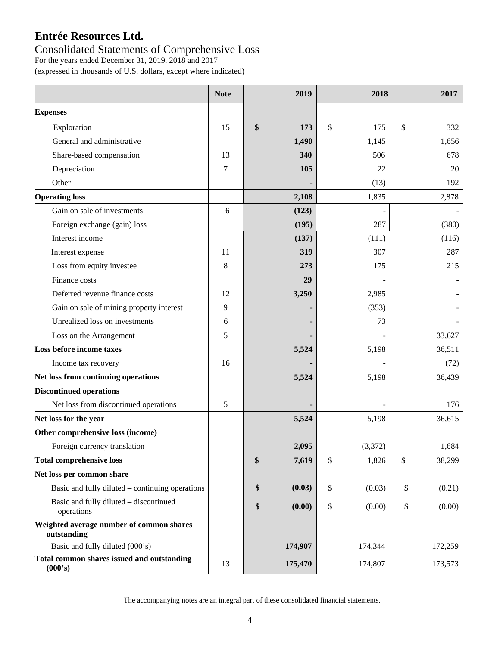# Consolidated Statements of Comprehensive Loss

For the years ended December 31, 2019, 2018 and 2017

(expressed in thousands of U.S. dollars, except where indicated)

|                                                              | <b>Note</b> | 2019         | 2018         | 2017         |
|--------------------------------------------------------------|-------------|--------------|--------------|--------------|
| <b>Expenses</b>                                              |             |              |              |              |
| Exploration                                                  | 15          | \$<br>173    | \$<br>175    | \$<br>332    |
| General and administrative                                   |             | 1,490        | 1,145        | 1,656        |
| Share-based compensation                                     | 13          | 340          | 506          | 678          |
| Depreciation                                                 | 7           | 105          | 22           | 20           |
| Other                                                        |             |              | (13)         | 192          |
| <b>Operating loss</b>                                        |             | 2,108        | 1,835        | 2,878        |
| Gain on sale of investments                                  | 6           | (123)        |              |              |
| Foreign exchange (gain) loss                                 |             | (195)        | 287          | (380)        |
| Interest income                                              |             | (137)        | (111)        | (116)        |
| Interest expense                                             | 11          | 319          | 307          | 287          |
| Loss from equity investee                                    | 8           | 273          | 175          | 215          |
| Finance costs                                                |             | 29           |              |              |
| Deferred revenue finance costs                               | 12          | 3,250        | 2,985        |              |
| Gain on sale of mining property interest                     | 9           |              | (353)        |              |
| Unrealized loss on investments                               | 6           |              | 73           |              |
| Loss on the Arrangement                                      | 5           |              |              | 33,627       |
| Loss before income taxes                                     |             | 5,524        | 5,198        | 36,511       |
| Income tax recovery                                          | 16          |              |              | (72)         |
| Net loss from continuing operations                          |             | 5,524        | 5,198        | 36,439       |
| <b>Discontinued operations</b>                               |             |              |              |              |
| Net loss from discontinued operations                        | 5           |              |              | 176          |
| Net loss for the year                                        |             | 5,524        | 5,198        | 36,615       |
| Other comprehensive loss (income)                            |             |              |              |              |
| Foreign currency translation                                 |             | 2,095        | (3,372)      | 1,684        |
| <b>Total comprehensive loss</b>                              |             | \$<br>7,619  | \$<br>1,826  | \$<br>38,299 |
| Net loss per common share                                    |             |              |              |              |
| Basic and fully diluted – continuing operations              |             | \$<br>(0.03) | \$<br>(0.03) | \$<br>(0.21) |
| Basic and fully diluted - discontinued<br>operations         |             | \$<br>(0.00) | \$<br>(0.00) | \$<br>(0.00) |
| Weighted average number of common shares<br>outstanding      |             |              |              |              |
| Basic and fully diluted (000's)                              |             | 174,907      | 174,344      | 172,259      |
| <b>Total common shares issued and outstanding</b><br>(000's) | 13          | 175,470      | 174,807      | 173,573      |

The accompanying notes are an integral part of these consolidated financial statements.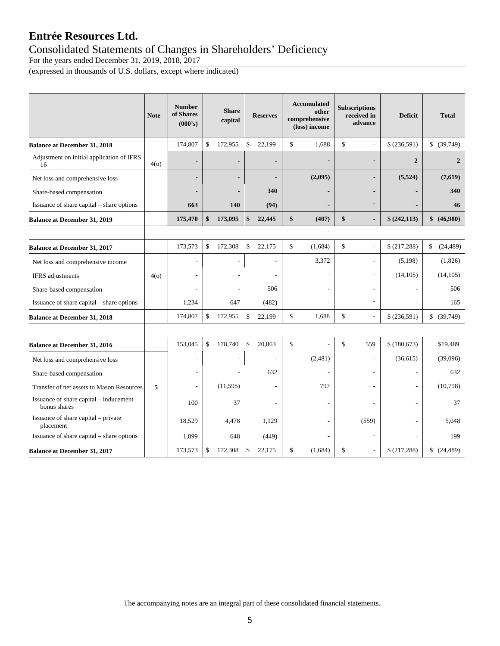# Consolidated Statements of Changes in Shareholders' Deficiency

For the years ended December 31, 2019, 2018, 2017

(expressed in thousands of U.S. dollars, except where indicated)

|                                                        | <b>Note</b>    | <b>Number</b><br>of Shares<br>(000's) | <b>Share</b><br>capital |                        | <b>Reserves</b> | <b>Accumulated</b><br>other<br>comprehensive<br>(loss) income | <b>Subscriptions</b><br>received in<br>advance | <b>Deficit</b>           | <b>Total</b>    |
|--------------------------------------------------------|----------------|---------------------------------------|-------------------------|------------------------|-----------------|---------------------------------------------------------------|------------------------------------------------|--------------------------|-----------------|
| <b>Balance at December 31, 2018</b>                    |                | 174,807                               | \$<br>172,955           | $\mathbb S$            | 22,199          | \$<br>1,688                                                   | \$<br>$\overline{a}$                           | \$(236,591)              | \$ (39,749)     |
| Adjustment on initial application of IFRS<br>16        | 4(0)           |                                       |                         |                        |                 |                                                               |                                                | $\overline{2}$           | $\overline{2}$  |
| Net loss and comprehensive loss                        |                |                                       |                         |                        |                 | (2,095)                                                       | $\overline{\phantom{a}}$                       | (5,524)                  | (7,619)         |
| Share-based compensation                               |                |                                       |                         |                        | 340             |                                                               |                                                |                          | 340             |
| Issuance of share capital – share options              |                | 663                                   | 140                     |                        | (94)            |                                                               |                                                |                          | 46              |
| <b>Balance at December 31, 2019</b>                    |                | 175,470                               | \$<br>173,095           | $\boldsymbol{\hat{s}}$ | 22,445          | \$<br>(407)                                                   | \$                                             | \$ (242, 113)            | \$ (46,980)     |
|                                                        |                |                                       |                         |                        |                 |                                                               |                                                |                          |                 |
| <b>Balance at December 31, 2017</b>                    |                | 173,573                               | \$<br>172,308           | \$                     | 22,175          | \$<br>(1,684)                                                 | \$<br>$\overline{a}$                           | \$(217,288)              | \$<br>(24, 489) |
| Net loss and comprehensive income                      |                |                                       |                         |                        | L,              | 3,372                                                         | ٠                                              | (5,198)                  | (1,826)         |
| IFRS adjustments                                       | 4 <sub>0</sub> |                                       |                         |                        | ÷,              |                                                               |                                                | (14, 105)                | (14, 105)       |
| Share-based compensation                               |                |                                       |                         |                        | 506             |                                                               |                                                |                          | 506             |
| Issuance of share capital - share options              |                | 1,234                                 | 647                     |                        | (482)           | $\overline{a}$                                                |                                                |                          | 165             |
| <b>Balance at December 31, 2018</b>                    |                | 174,807                               | \$<br>172,955           | \$                     | 22,199          | \$<br>1,688                                                   | \$<br>÷.                                       | \$(236,591)              | \$ (39,749)     |
|                                                        |                |                                       |                         |                        |                 |                                                               |                                                |                          |                 |
| <b>Balance at December 31, 2016</b>                    |                | 153,045                               | \$<br>178,740           | \$                     | 20,863          | \$                                                            | \$<br>559                                      | \$(180,673)              | \$19,489        |
| Net loss and comprehensive loss                        |                | L,                                    | ÷,                      |                        | L,              | (2,481)                                                       | $\overline{a}$                                 | (36,615)                 | (39,096)        |
| Share-based compensation                               |                |                                       |                         |                        | 632             |                                                               |                                                |                          | 632             |
| Transfer of net assets to Mason Resources              | 5              |                                       | (11, 595)               |                        |                 | 797                                                           |                                                | $\overline{\phantom{a}}$ | (10,798)        |
| Issuance of share capital – inducement<br>bonus shares |                | 100                                   | 37                      |                        | ÷,              |                                                               |                                                |                          | 37              |
| Issuance of share capital - private<br>placement       |                | 18,529                                | 4,478                   |                        | 1,129           |                                                               | (559)                                          |                          | 5,048           |
| Issuance of share capital - share options              |                | 1,899                                 | 648                     |                        | (449)           |                                                               |                                                |                          | 199             |
| <b>Balance at December 31, 2017</b>                    |                | 173,573                               | \$<br>172,308           | \$                     | 22,175          | \$<br>(1,684)                                                 | \$<br>$\overline{\phantom{a}}$                 | \$(217,288)              | \$(24, 489)     |

The accompanying notes are an integral part of these consolidated financial statements.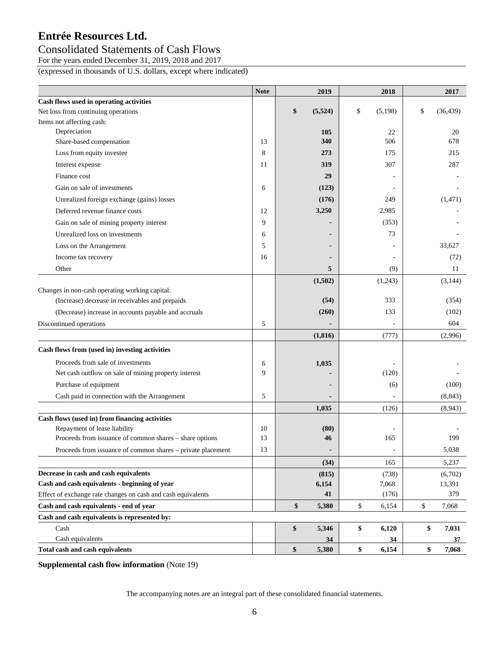# Consolidated Statements of Cash Flows

For the years ended December 31, 2019, 2018 and 2017

(expressed in thousands of U.S. dollars, except where indicated)

|                                                              | <b>Note</b> | 2019          |      | 2018                     | 2017            |
|--------------------------------------------------------------|-------------|---------------|------|--------------------------|-----------------|
| Cash flows used in operating activities                      |             |               |      |                          |                 |
| Net loss from continuing operations                          |             | \$<br>(5,524) | \$   | (5,198)                  | \$<br>(36, 439) |
| Items not affecting cash:                                    |             |               |      |                          |                 |
| Depreciation                                                 |             | 105           |      | 22                       | 20              |
| Share-based compensation                                     | 13          | 340           |      | 506                      | 678             |
| Loss from equity investee                                    | 8           | 273           |      | 175                      | 215             |
| Interest expense                                             | 11          | 319           |      | 307                      | 287             |
| Finance cost                                                 |             | 29            |      |                          |                 |
| Gain on sale of investments                                  | 6           | (123)         |      |                          |                 |
| Unrealized foreign exchange (gains) losses                   |             | (176)         |      | 249                      | (1, 471)        |
| Deferred revenue finance costs                               | 12          | 3,250         |      | 2,985                    |                 |
| Gain on sale of mining property interest                     | 9           |               |      | (353)                    |                 |
| Unrealized loss on investments                               | 6           |               |      | 73                       |                 |
| Loss on the Arrangement                                      | 5           |               |      |                          | 33,627          |
| Income tax recovery                                          | 16          |               |      | $\overline{\phantom{a}}$ | (72)            |
| Other                                                        |             | 5             |      | (9)                      | 11              |
|                                                              |             | (1,502)       |      | (1,243)                  | (3, 144)        |
| Changes in non-cash operating working capital:               |             |               |      |                          |                 |
| (Increase) decrease in receivables and prepaids              |             | (54)          |      | 333                      | (354)           |
| (Decrease) increase in accounts payable and accruals         |             | (260)         |      | 133                      | (102)           |
| Discontinued operations                                      | 5           |               |      |                          | 604             |
|                                                              |             | (1, 816)      |      | (777)                    | (2,996)         |
| Cash flows from (used in) investing activities               |             |               |      |                          |                 |
| Proceeds from sale of investments                            | 6           | 1,035         |      |                          |                 |
| Net cash outflow on sale of mining property interest         | 9           |               |      | (120)                    |                 |
| Purchase of equipment                                        |             |               |      | (6)                      | (100)           |
| Cash paid in connection with the Arrangement                 | 5           |               |      |                          | (8, 843)        |
|                                                              |             | 1,035         |      | (126)                    | (8,943)         |
| Cash flows (used in) from financing activities               |             |               |      |                          |                 |
| Repayment of lease liability                                 | 10          | (80)          |      |                          |                 |
| Proceeds from issuance of common shares - share options      | 13          | 46            |      | 165                      | 199             |
| Proceeds from issuance of common shares – private placement  | 13          |               |      |                          | 5,038           |
|                                                              |             | (34)          |      | 165                      | 5,237           |
| Decrease in cash and cash equivalents                        |             | (815)         |      | (738)                    | (6,702)         |
| Cash and cash equivalents - beginning of year                |             | 6,154         |      | 7,068                    | 13,391          |
| Effect of exchange rate changes on cash and cash equivalents |             | 41            |      | (176)                    | 379             |
| Cash and cash equivalents - end of year                      |             | \$<br>5,380   | $\$$ | 6,154                    | \$<br>7,068     |
| Cash and cash equivalents is represented by:                 |             |               |      |                          |                 |
| Cash                                                         |             | \$<br>5,346   | \$   | 6,120                    | \$<br>7,031     |
| Cash equivalents                                             |             | 34            |      | 34                       | 37              |
| Total cash and cash equivalents                              |             | \$<br>5,380   | $\$$ | 6,154                    | \$<br>7,068     |

**Supplemental cash flow information** (Note 19)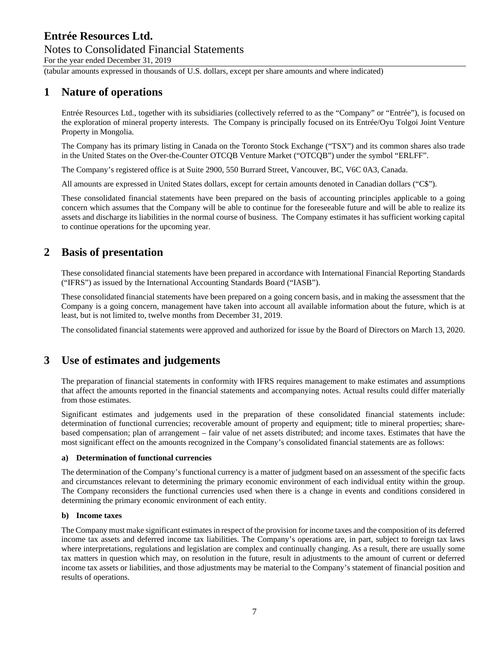# Notes to Consolidated Financial Statements

For the year ended December 31, 2019

(tabular amounts expressed in thousands of U.S. dollars, except per share amounts and where indicated)

# **1 Nature of operations**

Entrée Resources Ltd., together with its subsidiaries (collectively referred to as the "Company" or "Entrée"), is focused on the exploration of mineral property interests. The Company is principally focused on its Entrée/Oyu Tolgoi Joint Venture Property in Mongolia.

The Company has its primary listing in Canada on the Toronto Stock Exchange ("TSX") and its common shares also trade in the United States on the Over-the-Counter OTCQB Venture Market ("OTCQB") under the symbol "ERLFF".

The Company's registered office is at Suite 2900, 550 Burrard Street, Vancouver, BC, V6C 0A3, Canada.

All amounts are expressed in United States dollars, except for certain amounts denoted in Canadian dollars ("C\$").

These consolidated financial statements have been prepared on the basis of accounting principles applicable to a going concern which assumes that the Company will be able to continue for the foreseeable future and will be able to realize its assets and discharge its liabilities in the normal course of business. The Company estimates it has sufficient working capital to continue operations for the upcoming year.

# **2 Basis of presentation**

These consolidated financial statements have been prepared in accordance with International Financial Reporting Standards ("IFRS") as issued by the International Accounting Standards Board ("IASB").

These consolidated financial statements have been prepared on a going concern basis, and in making the assessment that the Company is a going concern, management have taken into account all available information about the future, which is at least, but is not limited to, twelve months from December 31, 2019.

The consolidated financial statements were approved and authorized for issue by the Board of Directors on March 13, 2020.

# **3 Use of estimates and judgements**

The preparation of financial statements in conformity with IFRS requires management to make estimates and assumptions that affect the amounts reported in the financial statements and accompanying notes. Actual results could differ materially from those estimates.

Significant estimates and judgements used in the preparation of these consolidated financial statements include: determination of functional currencies; recoverable amount of property and equipment; title to mineral properties; sharebased compensation; plan of arrangement – fair value of net assets distributed; and income taxes. Estimates that have the most significant effect on the amounts recognized in the Company's consolidated financial statements are as follows:

### **a) Determination of functional currencies**

The determination of the Company's functional currency is a matter of judgment based on an assessment of the specific facts and circumstances relevant to determining the primary economic environment of each individual entity within the group. The Company reconsiders the functional currencies used when there is a change in events and conditions considered in determining the primary economic environment of each entity.

### **b) Income taxes**

The Company must make significant estimates in respect of the provision for income taxes and the composition of its deferred income tax assets and deferred income tax liabilities. The Company's operations are, in part, subject to foreign tax laws where interpretations, regulations and legislation are complex and continually changing. As a result, there are usually some tax matters in question which may, on resolution in the future, result in adjustments to the amount of current or deferred income tax assets or liabilities, and those adjustments may be material to the Company's statement of financial position and results of operations.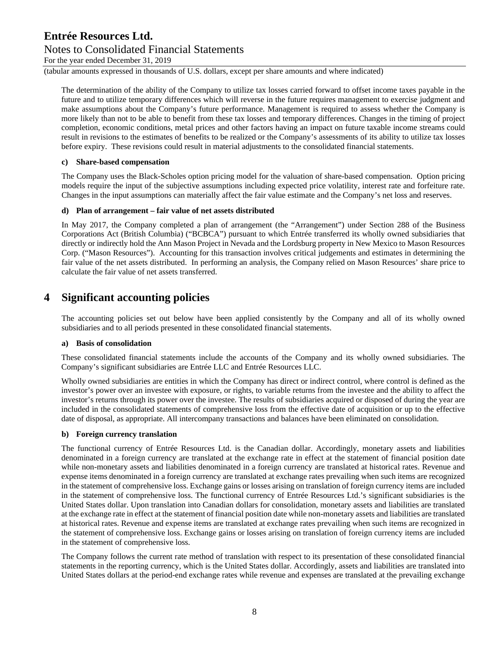# **Entrée Resources Ltd.**  Notes to Consolidated Financial Statements

For the year ended December 31, 2019

(tabular amounts expressed in thousands of U.S. dollars, except per share amounts and where indicated)

The determination of the ability of the Company to utilize tax losses carried forward to offset income taxes payable in the future and to utilize temporary differences which will reverse in the future requires management to exercise judgment and make assumptions about the Company's future performance. Management is required to assess whether the Company is more likely than not to be able to benefit from these tax losses and temporary differences. Changes in the timing of project completion, economic conditions, metal prices and other factors having an impact on future taxable income streams could result in revisions to the estimates of benefits to be realized or the Company's assessments of its ability to utilize tax losses before expiry. These revisions could result in material adjustments to the consolidated financial statements.

### **c) Share-based compensation**

The Company uses the Black-Scholes option pricing model for the valuation of share-based compensation. Option pricing models require the input of the subjective assumptions including expected price volatility, interest rate and forfeiture rate. Changes in the input assumptions can materially affect the fair value estimate and the Company's net loss and reserves.

### **d) Plan of arrangement – fair value of net assets distributed**

In May 2017, the Company completed a plan of arrangement (the "Arrangement") under Section 288 of the Business Corporations Act (British Columbia) ("BCBCA") pursuant to which Entrée transferred its wholly owned subsidiaries that directly or indirectly hold the Ann Mason Project in Nevada and the Lordsburg property in New Mexico to Mason Resources Corp. ("Mason Resources"). Accounting for this transaction involves critical judgements and estimates in determining the fair value of the net assets distributed. In performing an analysis, the Company relied on Mason Resources' share price to calculate the fair value of net assets transferred.

# **4 Significant accounting policies**

The accounting policies set out below have been applied consistently by the Company and all of its wholly owned subsidiaries and to all periods presented in these consolidated financial statements.

### **a) Basis of consolidation**

These consolidated financial statements include the accounts of the Company and its wholly owned subsidiaries. The Company's significant subsidiaries are Entrée LLC and Entrée Resources LLC.

Wholly owned subsidiaries are entities in which the Company has direct or indirect control, where control is defined as the investor's power over an investee with exposure, or rights, to variable returns from the investee and the ability to affect the investor's returns through its power over the investee. The results of subsidiaries acquired or disposed of during the year are included in the consolidated statements of comprehensive loss from the effective date of acquisition or up to the effective date of disposal, as appropriate. All intercompany transactions and balances have been eliminated on consolidation.

#### **b) Foreign currency translation**

The functional currency of Entrée Resources Ltd. is the Canadian dollar. Accordingly, monetary assets and liabilities denominated in a foreign currency are translated at the exchange rate in effect at the statement of financial position date while non-monetary assets and liabilities denominated in a foreign currency are translated at historical rates. Revenue and expense items denominated in a foreign currency are translated at exchange rates prevailing when such items are recognized in the statement of comprehensive loss. Exchange gains or losses arising on translation of foreign currency items are included in the statement of comprehensive loss. The functional currency of Entrée Resources Ltd.'s significant subsidiaries is the United States dollar. Upon translation into Canadian dollars for consolidation, monetary assets and liabilities are translated at the exchange rate in effect at the statement of financial position date while non-monetary assets and liabilities are translated at historical rates. Revenue and expense items are translated at exchange rates prevailing when such items are recognized in the statement of comprehensive loss. Exchange gains or losses arising on translation of foreign currency items are included in the statement of comprehensive loss.

The Company follows the current rate method of translation with respect to its presentation of these consolidated financial statements in the reporting currency, which is the United States dollar. Accordingly, assets and liabilities are translated into United States dollars at the period-end exchange rates while revenue and expenses are translated at the prevailing exchange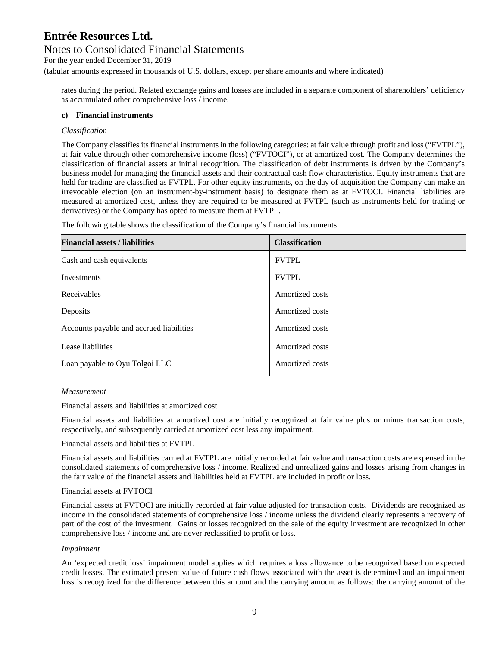(tabular amounts expressed in thousands of U.S. dollars, except per share amounts and where indicated)

rates during the period. Related exchange gains and losses are included in a separate component of shareholders' deficiency as accumulated other comprehensive loss / income.

#### **c) Financial instruments**

#### *Classification*

The Company classifies its financial instruments in the following categories: at fair value through profit and loss ("FVTPL"), at fair value through other comprehensive income (loss) ("FVTOCI"), or at amortized cost. The Company determines the classification of financial assets at initial recognition. The classification of debt instruments is driven by the Company's business model for managing the financial assets and their contractual cash flow characteristics. Equity instruments that are held for trading are classified as FVTPL. For other equity instruments, on the day of acquisition the Company can make an irrevocable election (on an instrument-by-instrument basis) to designate them as at FVTOCI. Financial liabilities are measured at amortized cost, unless they are required to be measured at FVTPL (such as instruments held for trading or derivatives) or the Company has opted to measure them at FVTPL.

The following table shows the classification of the Company's financial instruments:

| <b>Financial assets / liabilities</b>    | <b>Classification</b> |
|------------------------------------------|-----------------------|
| Cash and cash equivalents                | <b>FVTPL</b>          |
| Investments                              | <b>FVTPL</b>          |
| Receivables                              | Amortized costs       |
| Deposits                                 | Amortized costs       |
| Accounts payable and accrued liabilities | Amortized costs       |
| Lease liabilities                        | Amortized costs       |
| Loan payable to Oyu Tolgoi LLC           | Amortized costs       |
|                                          |                       |

#### *Measurement*

Financial assets and liabilities at amortized cost

Financial assets and liabilities at amortized cost are initially recognized at fair value plus or minus transaction costs, respectively, and subsequently carried at amortized cost less any impairment.

Financial assets and liabilities at FVTPL

Financial assets and liabilities carried at FVTPL are initially recorded at fair value and transaction costs are expensed in the consolidated statements of comprehensive loss / income. Realized and unrealized gains and losses arising from changes in the fair value of the financial assets and liabilities held at FVTPL are included in profit or loss.

#### Financial assets at FVTOCI

Financial assets at FVTOCI are initially recorded at fair value adjusted for transaction costs. Dividends are recognized as income in the consolidated statements of comprehensive loss / income unless the dividend clearly represents a recovery of part of the cost of the investment. Gains or losses recognized on the sale of the equity investment are recognized in other comprehensive loss / income and are never reclassified to profit or loss.

#### *Impairment*

An 'expected credit loss' impairment model applies which requires a loss allowance to be recognized based on expected credit losses. The estimated present value of future cash flows associated with the asset is determined and an impairment loss is recognized for the difference between this amount and the carrying amount as follows: the carrying amount of the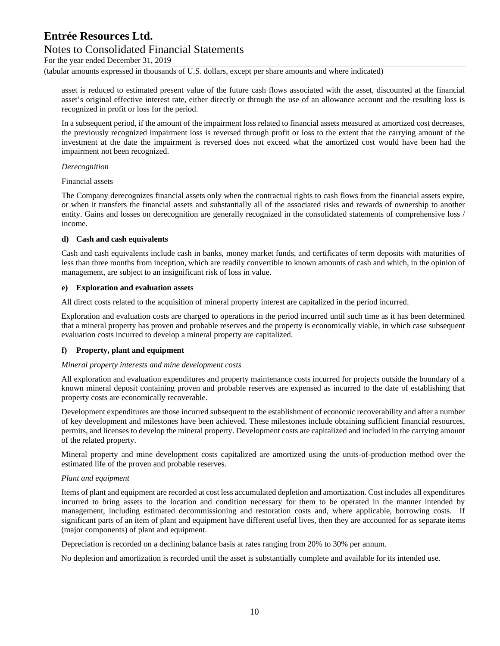# **Entrée Resources Ltd.**  Notes to Consolidated Financial Statements

For the year ended December 31, 2019

(tabular amounts expressed in thousands of U.S. dollars, except per share amounts and where indicated)

asset is reduced to estimated present value of the future cash flows associated with the asset, discounted at the financial asset's original effective interest rate, either directly or through the use of an allowance account and the resulting loss is recognized in profit or loss for the period.

In a subsequent period, if the amount of the impairment loss related to financial assets measured at amortized cost decreases, the previously recognized impairment loss is reversed through profit or loss to the extent that the carrying amount of the investment at the date the impairment is reversed does not exceed what the amortized cost would have been had the impairment not been recognized.

### *Derecognition*

Financial assets

The Company derecognizes financial assets only when the contractual rights to cash flows from the financial assets expire, or when it transfers the financial assets and substantially all of the associated risks and rewards of ownership to another entity. Gains and losses on derecognition are generally recognized in the consolidated statements of comprehensive loss / income.

### **d) Cash and cash equivalents**

Cash and cash equivalents include cash in banks, money market funds, and certificates of term deposits with maturities of less than three months from inception, which are readily convertible to known amounts of cash and which, in the opinion of management, are subject to an insignificant risk of loss in value.

### **e) Exploration and evaluation assets**

All direct costs related to the acquisition of mineral property interest are capitalized in the period incurred.

Exploration and evaluation costs are charged to operations in the period incurred until such time as it has been determined that a mineral property has proven and probable reserves and the property is economically viable, in which case subsequent evaluation costs incurred to develop a mineral property are capitalized.

### **f) Property, plant and equipment**

#### *Mineral property interests and mine development costs*

All exploration and evaluation expenditures and property maintenance costs incurred for projects outside the boundary of a known mineral deposit containing proven and probable reserves are expensed as incurred to the date of establishing that property costs are economically recoverable.

Development expenditures are those incurred subsequent to the establishment of economic recoverability and after a number of key development and milestones have been achieved. These milestones include obtaining sufficient financial resources, permits, and licenses to develop the mineral property. Development costs are capitalized and included in the carrying amount of the related property.

Mineral property and mine development costs capitalized are amortized using the units-of-production method over the estimated life of the proven and probable reserves.

#### *Plant and equipment*

Items of plant and equipment are recorded at cost less accumulated depletion and amortization. Cost includes all expenditures incurred to bring assets to the location and condition necessary for them to be operated in the manner intended by management, including estimated decommissioning and restoration costs and, where applicable, borrowing costs. If significant parts of an item of plant and equipment have different useful lives, then they are accounted for as separate items (major components) of plant and equipment.

Depreciation is recorded on a declining balance basis at rates ranging from 20% to 30% per annum.

No depletion and amortization is recorded until the asset is substantially complete and available for its intended use.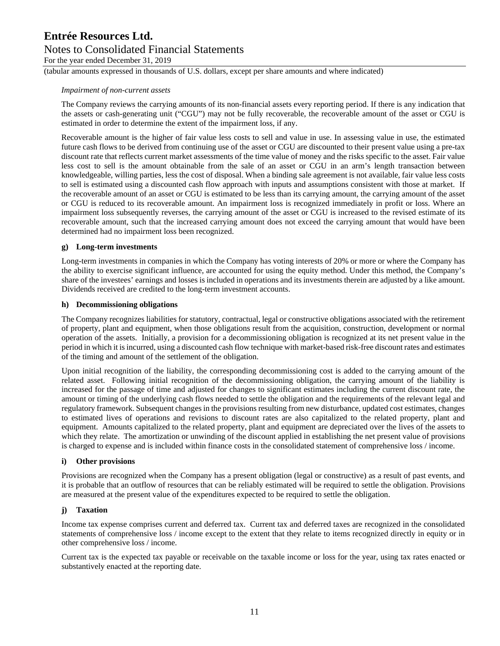(tabular amounts expressed in thousands of U.S. dollars, except per share amounts and where indicated)

### *Impairment of non-current assets*

The Company reviews the carrying amounts of its non-financial assets every reporting period. If there is any indication that the assets or cash-generating unit ("CGU") may not be fully recoverable, the recoverable amount of the asset or CGU is estimated in order to determine the extent of the impairment loss, if any.

Recoverable amount is the higher of fair value less costs to sell and value in use. In assessing value in use, the estimated future cash flows to be derived from continuing use of the asset or CGU are discounted to their present value using a pre-tax discount rate that reflects current market assessments of the time value of money and the risks specific to the asset. Fair value less cost to sell is the amount obtainable from the sale of an asset or CGU in an arm's length transaction between knowledgeable, willing parties, less the cost of disposal. When a binding sale agreement is not available, fair value less costs to sell is estimated using a discounted cash flow approach with inputs and assumptions consistent with those at market. If the recoverable amount of an asset or CGU is estimated to be less than its carrying amount, the carrying amount of the asset or CGU is reduced to its recoverable amount. An impairment loss is recognized immediately in profit or loss. Where an impairment loss subsequently reverses, the carrying amount of the asset or CGU is increased to the revised estimate of its recoverable amount, such that the increased carrying amount does not exceed the carrying amount that would have been determined had no impairment loss been recognized.

### **g) Long-term investments**

Long-term investments in companies in which the Company has voting interests of 20% or more or where the Company has the ability to exercise significant influence, are accounted for using the equity method. Under this method, the Company's share of the investees' earnings and losses is included in operations and its investments therein are adjusted by a like amount. Dividends received are credited to the long-term investment accounts.

### **h) Decommissioning obligations**

The Company recognizes liabilities for statutory, contractual, legal or constructive obligations associated with the retirement of property, plant and equipment, when those obligations result from the acquisition, construction, development or normal operation of the assets. Initially, a provision for a decommissioning obligation is recognized at its net present value in the period in which it is incurred, using a discounted cash flow technique with market-based risk-free discount rates and estimates of the timing and amount of the settlement of the obligation.

Upon initial recognition of the liability, the corresponding decommissioning cost is added to the carrying amount of the related asset. Following initial recognition of the decommissioning obligation, the carrying amount of the liability is increased for the passage of time and adjusted for changes to significant estimates including the current discount rate, the amount or timing of the underlying cash flows needed to settle the obligation and the requirements of the relevant legal and regulatory framework. Subsequent changes in the provisions resulting from new disturbance, updated cost estimates, changes to estimated lives of operations and revisions to discount rates are also capitalized to the related property, plant and equipment. Amounts capitalized to the related property, plant and equipment are depreciated over the lives of the assets to which they relate. The amortization or unwinding of the discount applied in establishing the net present value of provisions is charged to expense and is included within finance costs in the consolidated statement of comprehensive loss / income.

### **i) Other provisions**

Provisions are recognized when the Company has a present obligation (legal or constructive) as a result of past events, and it is probable that an outflow of resources that can be reliably estimated will be required to settle the obligation. Provisions are measured at the present value of the expenditures expected to be required to settle the obligation.

### **j) Taxation**

Income tax expense comprises current and deferred tax. Current tax and deferred taxes are recognized in the consolidated statements of comprehensive loss / income except to the extent that they relate to items recognized directly in equity or in other comprehensive loss / income.

Current tax is the expected tax payable or receivable on the taxable income or loss for the year, using tax rates enacted or substantively enacted at the reporting date.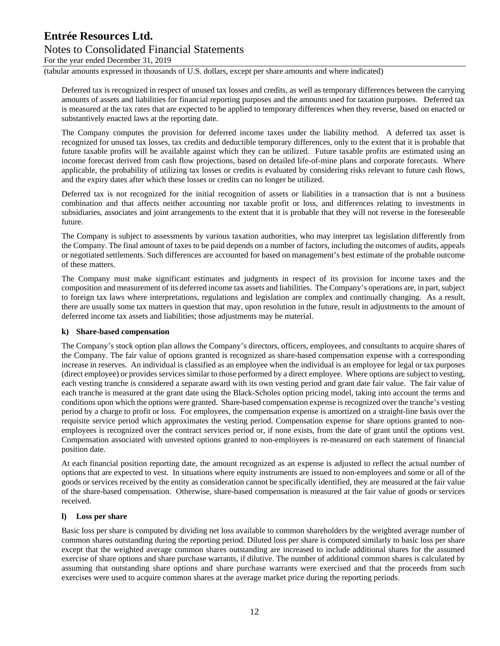(tabular amounts expressed in thousands of U.S. dollars, except per share amounts and where indicated)

Deferred tax is recognized in respect of unused tax losses and credits, as well as temporary differences between the carrying amounts of assets and liabilities for financial reporting purposes and the amounts used for taxation purposes. Deferred tax is measured at the tax rates that are expected to be applied to temporary differences when they reverse, based on enacted or substantively enacted laws at the reporting date.

The Company computes the provision for deferred income taxes under the liability method. A deferred tax asset is recognized for unused tax losses, tax credits and deductible temporary differences, only to the extent that it is probable that future taxable profits will be available against which they can be utilized. Future taxable profits are estimated using an income forecast derived from cash flow projections, based on detailed life-of-mine plans and corporate forecasts. Where applicable, the probability of utilizing tax losses or credits is evaluated by considering risks relevant to future cash flows, and the expiry dates after which these losses or credits can no longer be utilized.

Deferred tax is not recognized for the initial recognition of assets or liabilities in a transaction that is not a business combination and that affects neither accounting nor taxable profit or loss, and differences relating to investments in subsidiaries, associates and joint arrangements to the extent that it is probable that they will not reverse in the foreseeable future.

The Company is subject to assessments by various taxation authorities, who may interpret tax legislation differently from the Company. The final amount of taxes to be paid depends on a number of factors, including the outcomes of audits, appeals or negotiated settlements. Such differences are accounted for based on management's best estimate of the probable outcome of these matters.

The Company must make significant estimates and judgments in respect of its provision for income taxes and the composition and measurement of its deferred income tax assets and liabilities. The Company's operations are, in part, subject to foreign tax laws where interpretations, regulations and legislation are complex and continually changing. As a result, there are usually some tax matters in question that may, upon resolution in the future, result in adjustments to the amount of deferred income tax assets and liabilities; those adjustments may be material.

### **k) Share-based compensation**

The Company's stock option plan allows the Company's directors, officers, employees, and consultants to acquire shares of the Company. The fair value of options granted is recognized as share-based compensation expense with a corresponding increase in reserves. An individual is classified as an employee when the individual is an employee for legal or tax purposes (direct employee) or provides services similar to those performed by a direct employee. Where options are subject to vesting, each vesting tranche is considered a separate award with its own vesting period and grant date fair value. The fair value of each tranche is measured at the grant date using the Black-Scholes option pricing model, taking into account the terms and conditions upon which the options were granted. Share-based compensation expense is recognized over the tranche's vesting period by a charge to profit or loss. For employees, the compensation expense is amortized on a straight-line basis over the requisite service period which approximates the vesting period. Compensation expense for share options granted to nonemployees is recognized over the contract services period or, if none exists, from the date of grant until the options vest. Compensation associated with unvested options granted to non-employees is re-measured on each statement of financial position date.

At each financial position reporting date, the amount recognized as an expense is adjusted to reflect the actual number of options that are expected to vest. In situations where equity instruments are issued to non-employees and some or all of the goods or services received by the entity as consideration cannot be specifically identified, they are measured at the fair value of the share-based compensation. Otherwise, share-based compensation is measured at the fair value of goods or services received.

#### **l) Loss per share**

Basic loss per share is computed by dividing net loss available to common shareholders by the weighted average number of common shares outstanding during the reporting period. Diluted loss per share is computed similarly to basic loss per share except that the weighted average common shares outstanding are increased to include additional shares for the assumed exercise of share options and share purchase warrants, if dilutive. The number of additional common shares is calculated by assuming that outstanding share options and share purchase warrants were exercised and that the proceeds from such exercises were used to acquire common shares at the average market price during the reporting periods.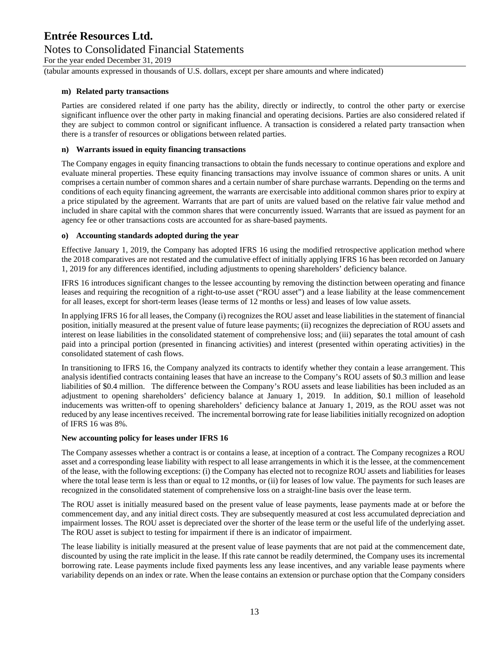(tabular amounts expressed in thousands of U.S. dollars, except per share amounts and where indicated)

### **m) Related party transactions**

Parties are considered related if one party has the ability, directly or indirectly, to control the other party or exercise significant influence over the other party in making financial and operating decisions. Parties are also considered related if they are subject to common control or significant influence. A transaction is considered a related party transaction when there is a transfer of resources or obligations between related parties.

### **n) Warrants issued in equity financing transactions**

The Company engages in equity financing transactions to obtain the funds necessary to continue operations and explore and evaluate mineral properties. These equity financing transactions may involve issuance of common shares or units. A unit comprises a certain number of common shares and a certain number of share purchase warrants. Depending on the terms and conditions of each equity financing agreement, the warrants are exercisable into additional common shares prior to expiry at a price stipulated by the agreement. Warrants that are part of units are valued based on the relative fair value method and included in share capital with the common shares that were concurrently issued. Warrants that are issued as payment for an agency fee or other transactions costs are accounted for as share‐based payments.

### **o) Accounting standards adopted during the year**

Effective January 1, 2019, the Company has adopted IFRS 16 using the modified retrospective application method where the 2018 comparatives are not restated and the cumulative effect of initially applying IFRS 16 has been recorded on January 1, 2019 for any differences identified, including adjustments to opening shareholders' deficiency balance.

IFRS 16 introduces significant changes to the lessee accounting by removing the distinction between operating and finance leases and requiring the recognition of a right-to-use asset ("ROU asset") and a lease liability at the lease commencement for all leases, except for short-term leases (lease terms of 12 months or less) and leases of low value assets.

In applying IFRS 16 for all leases, the Company (i) recognizes the ROU asset and lease liabilities in the statement of financial position, initially measured at the present value of future lease payments; (ii) recognizes the depreciation of ROU assets and interest on lease liabilities in the consolidated statement of comprehensive loss; and (iii) separates the total amount of cash paid into a principal portion (presented in financing activities) and interest (presented within operating activities) in the consolidated statement of cash flows.

In transitioning to IFRS 16, the Company analyzed its contracts to identify whether they contain a lease arrangement. This analysis identified contracts containing leases that have an increase to the Company's ROU assets of \$0.3 million and lease liabilities of \$0.4 million. The difference between the Company's ROU assets and lease liabilities has been included as an adjustment to opening shareholders' deficiency balance at January 1, 2019. In addition, \$0.1 million of leasehold inducements was written-off to opening shareholders' deficiency balance at January 1, 2019, as the ROU asset was not reduced by any lease incentives received. The incremental borrowing rate for lease liabilities initially recognized on adoption of IFRS 16 was 8%.

#### **New accounting policy for leases under IFRS 16**

The Company assesses whether a contract is or contains a lease, at inception of a contract. The Company recognizes a ROU asset and a corresponding lease liability with respect to all lease arrangements in which it is the lessee, at the commencement of the lease, with the following exceptions: (i) the Company has elected not to recognize ROU assets and liabilities for leases where the total lease term is less than or equal to 12 months, or (ii) for leases of low value. The payments for such leases are recognized in the consolidated statement of comprehensive loss on a straight-line basis over the lease term.

The ROU asset is initially measured based on the present value of lease payments, lease payments made at or before the commencement day, and any initial direct costs. They are subsequently measured at cost less accumulated depreciation and impairment losses. The ROU asset is depreciated over the shorter of the lease term or the useful life of the underlying asset. The ROU asset is subject to testing for impairment if there is an indicator of impairment.

The lease liability is initially measured at the present value of lease payments that are not paid at the commencement date, discounted by using the rate implicit in the lease. If this rate cannot be readily determined, the Company uses its incremental borrowing rate. Lease payments include fixed payments less any lease incentives, and any variable lease payments where variability depends on an index or rate. When the lease contains an extension or purchase option that the Company considers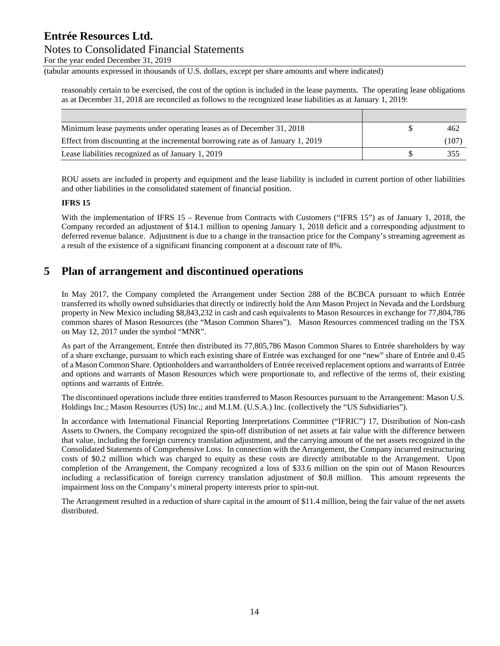### Notes to Consolidated Financial Statements

For the year ended December 31, 2019

(tabular amounts expressed in thousands of U.S. dollars, except per share amounts and where indicated)

reasonably certain to be exercised, the cost of the option is included in the lease payments. The operating lease obligations as at December 31, 2018 are reconciled as follows to the recognized lease liabilities as at January 1, 2019:

| Minimum lease payments under operating leases as of December 31, 2018           | 462  |
|---------------------------------------------------------------------------------|------|
| Effect from discounting at the incremental borrowing rate as of January 1, 2019 | (107 |
| Lease liabilities recognized as of January 1, 2019                              | 355  |

ROU assets are included in property and equipment and the lease liability is included in current portion of other liabilities and other liabilities in the consolidated statement of financial position.

### **IFRS 15**

With the implementation of IFRS 15 – Revenue from Contracts with Customers ("IFRS 15") as of January 1, 2018, the Company recorded an adjustment of \$14.1 million to opening January 1, 2018 deficit and a corresponding adjustment to deferred revenue balance. Adjustment is due to a change in the transaction price for the Company's streaming agreement as a result of the existence of a significant financing component at a discount rate of 8%.

# **5 Plan of arrangement and discontinued operations**

In May 2017, the Company completed the Arrangement under Section 288 of the BCBCA pursuant to which Entrée transferred its wholly owned subsidiaries that directly or indirectly hold the Ann Mason Project in Nevada and the Lordsburg property in New Mexico including \$8,843,232 in cash and cash equivalents to Mason Resources in exchange for 77,804,786 common shares of Mason Resources (the "Mason Common Shares"). Mason Resources commenced trading on the TSX on May 12, 2017 under the symbol "MNR".

As part of the Arrangement, Entrée then distributed its 77,805,786 Mason Common Shares to Entrée shareholders by way of a share exchange, pursuant to which each existing share of Entrée was exchanged for one "new" share of Entrée and 0.45 of a Mason Common Share. Optionholders and warrantholders of Entrée received replacement options and warrants of Entrée and options and warrants of Mason Resources which were proportionate to, and reflective of the terms of, their existing options and warrants of Entrée.

The discontinued operations include three entities transferred to Mason Resources pursuant to the Arrangement: Mason U.S. Holdings Inc.; Mason Resources (US) Inc.; and M.I.M. (U.S.A.) Inc. (collectively the "US Subsidiaries").

In accordance with International Financial Reporting Interpretations Committee ("IFRIC") 17, Distribution of Non-cash Assets to Owners, the Company recognized the spin-off distribution of net assets at fair value with the difference between that value, including the foreign currency translation adjustment, and the carrying amount of the net assets recognized in the Consolidated Statements of Comprehensive Loss. In connection with the Arrangement, the Company incurred restructuring costs of \$0.2 million which was charged to equity as these costs are directly attributable to the Arrangement. Upon completion of the Arrangement, the Company recognized a loss of \$33.6 million on the spin out of Mason Resources including a reclassification of foreign currency translation adjustment of \$0.8 million. This amount represents the impairment loss on the Company's mineral property interests prior to spin-out.

The Arrangement resulted in a reduction of share capital in the amount of \$11.4 million, being the fair value of the net assets distributed.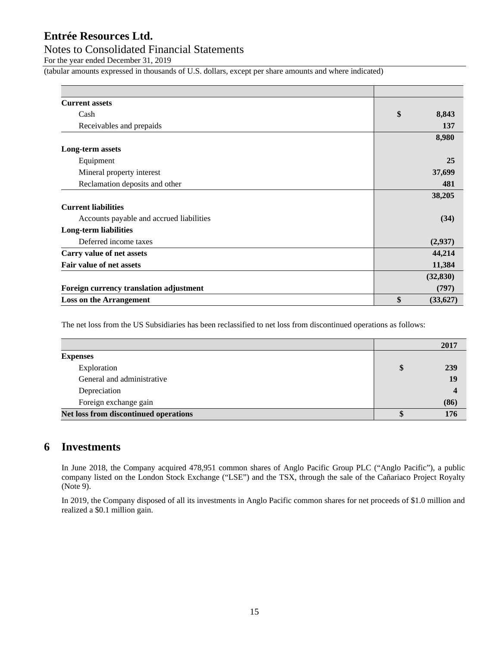### Notes to Consolidated Financial Statements

For the year ended December 31, 2019

(tabular amounts expressed in thousands of U.S. dollars, except per share amounts and where indicated)

| <b>Current assets</b>                    |                 |
|------------------------------------------|-----------------|
| Cash                                     | \$<br>8,843     |
| Receivables and prepaids                 | 137             |
|                                          | 8,980           |
| Long-term assets                         |                 |
| Equipment                                | 25              |
| Mineral property interest                | 37,699          |
| Reclamation deposits and other           | 481             |
|                                          | 38,205          |
| <b>Current liabilities</b>               |                 |
| Accounts payable and accrued liabilities | (34)            |
| <b>Long-term liabilities</b>             |                 |
| Deferred income taxes                    | (2,937)         |
| Carry value of net assets                | 44,214          |
| <b>Fair value of net assets</b>          | 11,384          |
|                                          | (32, 830)       |
| Foreign currency translation adjustment  | (797)           |
| <b>Loss on the Arrangement</b>           | \$<br>(33, 627) |

The net loss from the US Subsidiaries has been reclassified to net loss from discontinued operations as follows:

|                                       |   | 2017                     |
|---------------------------------------|---|--------------------------|
| <b>Expenses</b>                       |   |                          |
| Exploration                           | S | 239                      |
| General and administrative            |   | 19                       |
| Depreciation                          |   | $\overline{\mathcal{L}}$ |
| Foreign exchange gain                 |   | (86)                     |
| Net loss from discontinued operations |   | 176                      |

# **6 Investments**

In June 2018, the Company acquired 478,951 common shares of Anglo Pacific Group PLC ("Anglo Pacific"), a public company listed on the London Stock Exchange ("LSE") and the TSX, through the sale of the Cañariaco Project Royalty (Note 9).

In 2019, the Company disposed of all its investments in Anglo Pacific common shares for net proceeds of \$1.0 million and realized a \$0.1 million gain.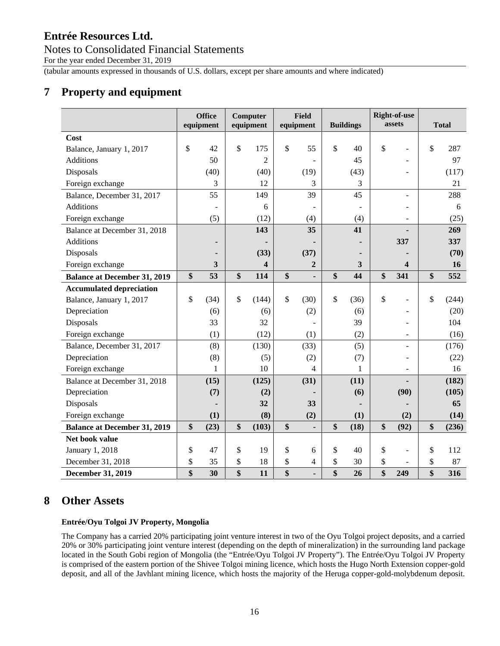Notes to Consolidated Financial Statements

For the year ended December 31, 2019

(tabular amounts expressed in thousands of U.S. dollars, except per share amounts and where indicated)

# **7 Property and equipment**

|                                     | <b>Office</b><br>equipment | Computer<br>equipment | <b>Field</b><br>equipment | <b>Buildings</b> |               | <b>Right-of-use</b><br>assets | <b>Total</b> |
|-------------------------------------|----------------------------|-----------------------|---------------------------|------------------|---------------|-------------------------------|--------------|
| Cost                                |                            |                       |                           |                  |               |                               |              |
| Balance, January 1, 2017            | \$<br>42                   | \$<br>175             | \$<br>55                  | \$<br>40         | $\mathcal{S}$ | ÷,                            | \$<br>287    |
| Additions                           | 50                         | 2                     |                           | 45               |               | ÷                             | 97           |
| Disposals                           | (40)                       | (40)                  | (19)                      | (43)             |               |                               | (117)        |
| Foreign exchange                    | 3                          | 12                    | 3                         | 3                |               |                               | 21           |
| Balance, December 31, 2017          | 55                         | 149                   | 39                        | 45               |               | ۳                             | 288          |
| <b>Additions</b>                    |                            | 6                     |                           |                  |               |                               | 6            |
| Foreign exchange                    | (5)                        | (12)                  | (4)                       | (4)              |               |                               | (25)         |
| Balance at December 31, 2018        |                            | 143                   | 35                        | 41               |               |                               | 269          |
| <b>Additions</b>                    |                            |                       |                           |                  |               | 337                           | 337          |
| Disposals                           |                            | (33)                  | (37)                      |                  |               |                               | (70)         |
| Foreign exchange                    | 3                          | 4                     | $\overline{2}$            | 3                |               | $\overline{\mathbf{4}}$       | <b>16</b>    |
| <b>Balance at December 31, 2019</b> | \$<br>53                   | \$<br>114             | \$                        | \$<br>44         | \$            | 341                           | \$<br>552    |
| <b>Accumulated depreciation</b>     |                            |                       |                           |                  |               |                               |              |
| Balance, January 1, 2017            | \$<br>(34)                 | \$<br>(144)           | \$<br>(30)                | \$<br>(36)       | $\mathcal{S}$ | $\overline{\phantom{0}}$      | \$<br>(244)  |
| Depreciation                        | (6)                        | (6)                   | (2)                       | (6)              |               |                               | (20)         |
| Disposals                           | 33                         | 32                    |                           | 39               |               |                               | 104          |
| Foreign exchange                    | (1)                        | (12)                  | (1)                       | (2)              |               | ۰                             | (16)         |
| Balance, December 31, 2017          | (8)                        | (130)                 | (33)                      | (5)              |               |                               | (176)        |
| Depreciation                        | (8)                        | (5)                   | (2)                       | (7)              |               |                               | (22)         |
| Foreign exchange                    | 1                          | 10                    | 4                         | $\mathbf{1}$     |               |                               | 16           |
| Balance at December 31, 2018        | (15)                       | (125)                 | (31)                      | (11)             |               |                               | (182)        |
| Depreciation                        | (7)                        | (2)                   |                           | (6)              |               | (90)                          | (105)        |
| Disposals                           |                            | 32                    | 33                        |                  |               |                               | 65           |
| Foreign exchange                    | (1)                        | (8)                   | (2)                       | (1)              |               | (2)                           | (14)         |
| <b>Balance at December 31, 2019</b> | \$<br>(23)                 | \$<br>(103)           | \$<br>$\blacksquare$      | \$<br>(18)       | \$            | (92)                          | \$<br>(236)  |
| Net book value                      |                            |                       |                           |                  |               |                               |              |
| January 1, 2018                     | \$<br>47                   | \$<br>19              | \$<br>6                   | \$<br>40         | $\mathcal{S}$ | L.                            | \$<br>112    |
| December 31, 2018                   | \$<br>35                   | \$<br>18              | \$<br>4                   | \$<br>30         | \$            |                               | \$<br>87     |
| <b>December 31, 2019</b>            | \$<br>30                   | \$<br>11              | \$                        | \$<br>26         | \$            | 249                           | \$<br>316    |

# **8 Other Assets**

### **Entrée/Oyu Tolgoi JV Property, Mongolia**

The Company has a carried 20% participating joint venture interest in two of the Oyu Tolgoi project deposits, and a carried 20% or 30% participating joint venture interest (depending on the depth of mineralization) in the surrounding land package located in the South Gobi region of Mongolia (the "Entrée/Oyu Tolgoi JV Property"). The Entrée/Oyu Tolgoi JV Property is comprised of the eastern portion of the Shivee Tolgoi mining licence, which hosts the Hugo North Extension copper-gold deposit, and all of the Javhlant mining licence, which hosts the majority of the Heruga copper-gold-molybdenum deposit.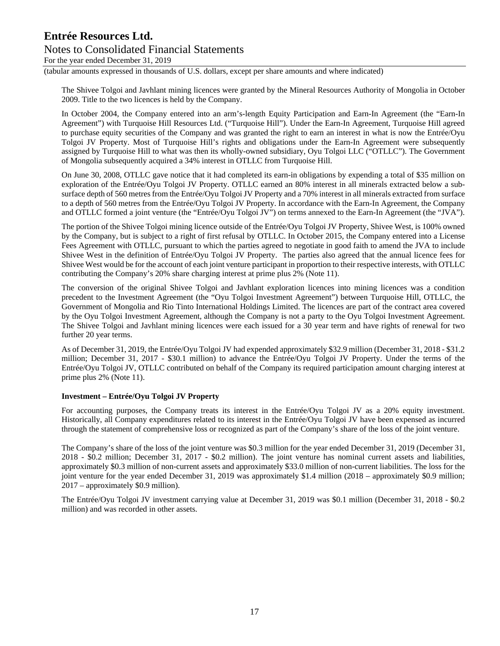### Notes to Consolidated Financial Statements

For the year ended December 31, 2019

(tabular amounts expressed in thousands of U.S. dollars, except per share amounts and where indicated)

The Shivee Tolgoi and Javhlant mining licences were granted by the Mineral Resources Authority of Mongolia in October 2009. Title to the two licences is held by the Company.

In October 2004, the Company entered into an arm's-length Equity Participation and Earn-In Agreement (the "Earn-In Agreement") with Turquoise Hill Resources Ltd. ("Turquoise Hill"). Under the Earn-In Agreement, Turquoise Hill agreed to purchase equity securities of the Company and was granted the right to earn an interest in what is now the Entrée/Oyu Tolgoi JV Property. Most of Turquoise Hill's rights and obligations under the Earn-In Agreement were subsequently assigned by Turquoise Hill to what was then its wholly-owned subsidiary, Oyu Tolgoi LLC ("OTLLC"). The Government of Mongolia subsequently acquired a 34% interest in OTLLC from Turquoise Hill.

On June 30, 2008, OTLLC gave notice that it had completed its earn-in obligations by expending a total of \$35 million on exploration of the Entrée/Oyu Tolgoi JV Property. OTLLC earned an 80% interest in all minerals extracted below a subsurface depth of 560 metres from the Entrée/Oyu Tolgoi JV Property and a 70% interest in all minerals extracted from surface to a depth of 560 metres from the Entrée/Oyu Tolgoi JV Property. In accordance with the Earn-In Agreement, the Company and OTLLC formed a joint venture (the "Entrée/Oyu Tolgoi JV") on terms annexed to the Earn-In Agreement (the "JVA").

The portion of the Shivee Tolgoi mining licence outside of the Entrée/Oyu Tolgoi JV Property, Shivee West, is 100% owned by the Company, but is subject to a right of first refusal by OTLLC. In October 2015, the Company entered into a License Fees Agreement with OTLLC, pursuant to which the parties agreed to negotiate in good faith to amend the JVA to include Shivee West in the definition of Entrée/Oyu Tolgoi JV Property. The parties also agreed that the annual licence fees for Shivee West would be for the account of each joint venture participant in proportion to their respective interests, with OTLLC contributing the Company's 20% share charging interest at prime plus 2% (Note 11).

The conversion of the original Shivee Tolgoi and Javhlant exploration licences into mining licences was a condition precedent to the Investment Agreement (the "Oyu Tolgoi Investment Agreement") between Turquoise Hill, OTLLC, the Government of Mongolia and Rio Tinto International Holdings Limited. The licences are part of the contract area covered by the Oyu Tolgoi Investment Agreement, although the Company is not a party to the Oyu Tolgoi Investment Agreement. The Shivee Tolgoi and Javhlant mining licences were each issued for a 30 year term and have rights of renewal for two further 20 year terms.

As of December 31, 2019, the Entrée/Oyu Tolgoi JV had expended approximately \$32.9 million (December 31, 2018 - \$31.2 million; December 31, 2017 - \$30.1 million) to advance the Entrée/Oyu Tolgoi JV Property. Under the terms of the Entrée/Oyu Tolgoi JV, OTLLC contributed on behalf of the Company its required participation amount charging interest at prime plus 2% (Note 11).

### **Investment – Entrée/Oyu Tolgoi JV Property**

For accounting purposes, the Company treats its interest in the Entrée/Oyu Tolgoi JV as a 20% equity investment. Historically, all Company expenditures related to its interest in the Entrée/Oyu Tolgoi JV have been expensed as incurred through the statement of comprehensive loss or recognized as part of the Company's share of the loss of the joint venture.

The Company's share of the loss of the joint venture was \$0.3 million for the year ended December 31, 2019 (December 31, 2018 - \$0.2 million; December 31, 2017 - \$0.2 million). The joint venture has nominal current assets and liabilities, approximately \$0.3 million of non-current assets and approximately \$33.0 million of non-current liabilities. The loss for the joint venture for the year ended December 31, 2019 was approximately \$1.4 million (2018 – approximately \$0.9 million; 2017 – approximately \$0.9 million).

The Entrée/Oyu Tolgoi JV investment carrying value at December 31, 2019 was \$0.1 million (December 31, 2018 - \$0.2 million) and was recorded in other assets.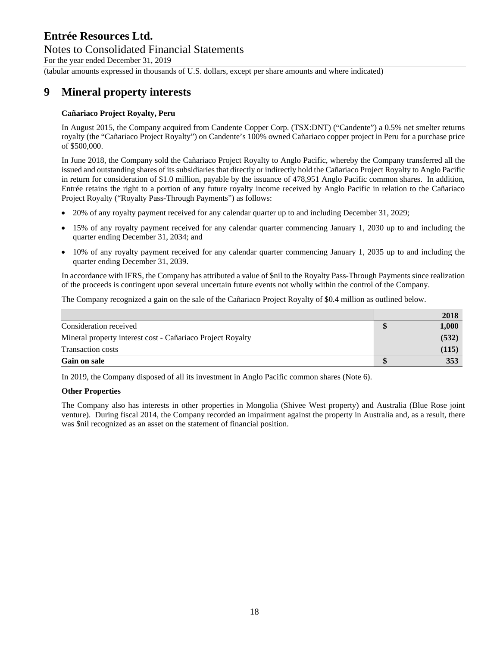(tabular amounts expressed in thousands of U.S. dollars, except per share amounts and where indicated)

### **9 Mineral property interests**

### **Cañariaco Project Royalty, Peru**

In August 2015, the Company acquired from Candente Copper Corp. (TSX:DNT) ("Candente") a 0.5% net smelter returns royalty (the "Cañariaco Project Royalty") on Candente's 100% owned Cañariaco copper project in Peru for a purchase price of \$500,000.

In June 2018, the Company sold the Cañariaco Project Royalty to Anglo Pacific, whereby the Company transferred all the issued and outstanding shares of its subsidiaries that directly or indirectly hold the Cañariaco Project Royalty to Anglo Pacific in return for consideration of \$1.0 million, payable by the issuance of 478,951 Anglo Pacific common shares. In addition, Entrée retains the right to a portion of any future royalty income received by Anglo Pacific in relation to the Cañariaco Project Royalty ("Royalty Pass-Through Payments") as follows:

- 20% of any royalty payment received for any calendar quarter up to and including December 31, 2029;
- 15% of any royalty payment received for any calendar quarter commencing January 1, 2030 up to and including the quarter ending December 31, 2034; and
- 10% of any royalty payment received for any calendar quarter commencing January 1, 2035 up to and including the quarter ending December 31, 2039.

In accordance with IFRS, the Company has attributed a value of \$nil to the Royalty Pass-Through Payments since realization of the proceeds is contingent upon several uncertain future events not wholly within the control of the Company.

The Company recognized a gain on the sale of the Cañariaco Project Royalty of \$0.4 million as outlined below.

|                                                            |   | 2018  |
|------------------------------------------------------------|---|-------|
| Consideration received                                     | Φ | 1,000 |
| Mineral property interest cost - Cañariaco Project Royalty |   | (532) |
| <b>Transaction costs</b>                                   |   | (115) |
| <b>Gain on sale</b>                                        | D | 353   |

In 2019, the Company disposed of all its investment in Anglo Pacific common shares (Note 6).

#### **Other Properties**

The Company also has interests in other properties in Mongolia (Shivee West property) and Australia (Blue Rose joint venture). During fiscal 2014, the Company recorded an impairment against the property in Australia and, as a result, there was \$nil recognized as an asset on the statement of financial position.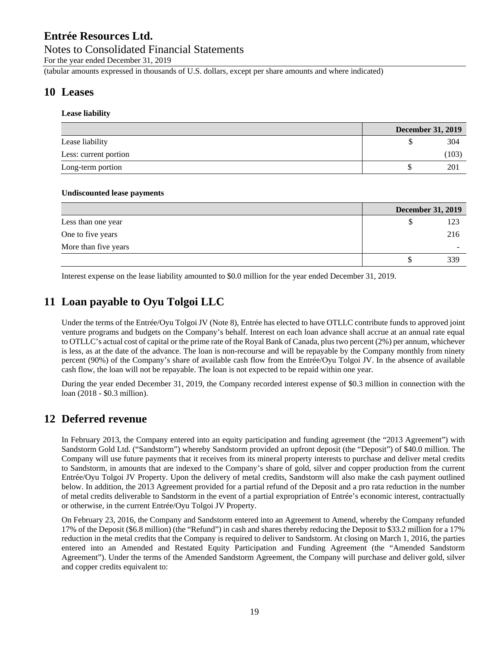Notes to Consolidated Financial Statements

For the year ended December 31, 2019

(tabular amounts expressed in thousands of U.S. dollars, except per share amounts and where indicated)

# **10 Leases**

### **Lease liability**

|                       | <b>December 31, 2019</b> |
|-----------------------|--------------------------|
| Lease liability       | 304                      |
| Less: current portion | (103)                    |
| Long-term portion     | 201                      |

### **Undiscounted lease payments**

|                      | <b>December 31, 2019</b> |     |
|----------------------|--------------------------|-----|
| Less than one year   |                          | 123 |
| One to five years    |                          | 216 |
| More than five years |                          |     |
|                      |                          | 339 |

Interest expense on the lease liability amounted to \$0.0 million for the year ended December 31, 2019.

# **11 Loan payable to Oyu Tolgoi LLC**

Under the terms of the Entrée/Oyu Tolgoi JV (Note 8), Entrée has elected to have OTLLC contribute funds to approved joint venture programs and budgets on the Company's behalf. Interest on each loan advance shall accrue at an annual rate equal to OTLLC's actual cost of capital or the prime rate of the Royal Bank of Canada, plus two percent (2%) per annum, whichever is less, as at the date of the advance. The loan is non-recourse and will be repayable by the Company monthly from ninety percent (90%) of the Company's share of available cash flow from the Entrée/Oyu Tolgoi JV. In the absence of available cash flow, the loan will not be repayable. The loan is not expected to be repaid within one year.

During the year ended December 31, 2019, the Company recorded interest expense of \$0.3 million in connection with the loan (2018 - \$0.3 million).

# **12 Deferred revenue**

In February 2013, the Company entered into an equity participation and funding agreement (the "2013 Agreement") with Sandstorm Gold Ltd. ("Sandstorm") whereby Sandstorm provided an upfront deposit (the "Deposit") of \$40.0 million. The Company will use future payments that it receives from its mineral property interests to purchase and deliver metal credits to Sandstorm, in amounts that are indexed to the Company's share of gold, silver and copper production from the current Entrée/Oyu Tolgoi JV Property. Upon the delivery of metal credits, Sandstorm will also make the cash payment outlined below. In addition, the 2013 Agreement provided for a partial refund of the Deposit and a pro rata reduction in the number of metal credits deliverable to Sandstorm in the event of a partial expropriation of Entrée's economic interest, contractually or otherwise, in the current Entrée/Oyu Tolgoi JV Property.

On February 23, 2016, the Company and Sandstorm entered into an Agreement to Amend, whereby the Company refunded 17% of the Deposit (\$6.8 million) (the "Refund") in cash and shares thereby reducing the Deposit to \$33.2 million for a 17% reduction in the metal credits that the Company is required to deliver to Sandstorm. At closing on March 1, 2016, the parties entered into an Amended and Restated Equity Participation and Funding Agreement (the "Amended Sandstorm Agreement"). Under the terms of the Amended Sandstorm Agreement, the Company will purchase and deliver gold, silver and copper credits equivalent to: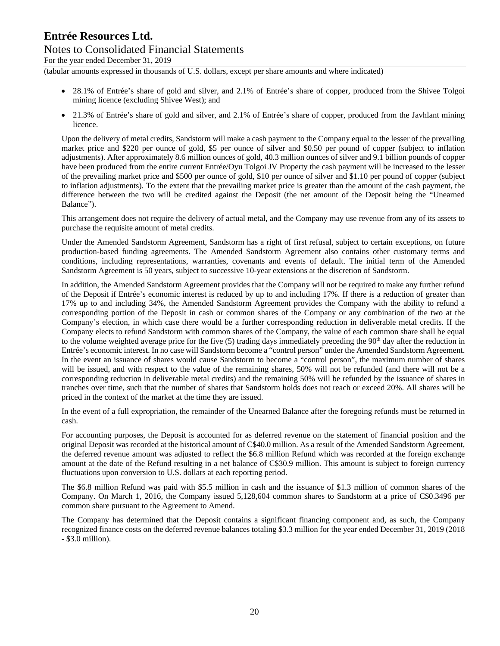(tabular amounts expressed in thousands of U.S. dollars, except per share amounts and where indicated)

- 28.1% of Entrée's share of gold and silver, and 2.1% of Entrée's share of copper, produced from the Shivee Tolgoi mining licence (excluding Shivee West); and
- 21.3% of Entrée's share of gold and silver, and 2.1% of Entrée's share of copper, produced from the Javhlant mining licence.

Upon the delivery of metal credits, Sandstorm will make a cash payment to the Company equal to the lesser of the prevailing market price and \$220 per ounce of gold, \$5 per ounce of silver and \$0.50 per pound of copper (subject to inflation adjustments). After approximately 8.6 million ounces of gold, 40.3 million ounces of silver and 9.1 billion pounds of copper have been produced from the entire current Entrée/Oyu Tolgoi JV Property the cash payment will be increased to the lesser of the prevailing market price and \$500 per ounce of gold, \$10 per ounce of silver and \$1.10 per pound of copper (subject to inflation adjustments). To the extent that the prevailing market price is greater than the amount of the cash payment, the difference between the two will be credited against the Deposit (the net amount of the Deposit being the "Unearned Balance").

This arrangement does not require the delivery of actual metal, and the Company may use revenue from any of its assets to purchase the requisite amount of metal credits.

Under the Amended Sandstorm Agreement, Sandstorm has a right of first refusal, subject to certain exceptions, on future production-based funding agreements. The Amended Sandstorm Agreement also contains other customary terms and conditions, including representations, warranties, covenants and events of default. The initial term of the Amended Sandstorm Agreement is 50 years, subject to successive 10-year extensions at the discretion of Sandstorm.

In addition, the Amended Sandstorm Agreement provides that the Company will not be required to make any further refund of the Deposit if Entrée's economic interest is reduced by up to and including 17%. If there is a reduction of greater than 17% up to and including 34%, the Amended Sandstorm Agreement provides the Company with the ability to refund a corresponding portion of the Deposit in cash or common shares of the Company or any combination of the two at the Company's election, in which case there would be a further corresponding reduction in deliverable metal credits. If the Company elects to refund Sandstorm with common shares of the Company, the value of each common share shall be equal to the volume weighted average price for the five  $(5)$  trading days immediately preceding the 90<sup>th</sup> day after the reduction in Entrée's economic interest. In no case will Sandstorm become a "control person" under the Amended Sandstorm Agreement. In the event an issuance of shares would cause Sandstorm to become a "control person", the maximum number of shares will be issued, and with respect to the value of the remaining shares, 50% will not be refunded (and there will not be a corresponding reduction in deliverable metal credits) and the remaining 50% will be refunded by the issuance of shares in tranches over time, such that the number of shares that Sandstorm holds does not reach or exceed 20%. All shares will be priced in the context of the market at the time they are issued.

In the event of a full expropriation, the remainder of the Unearned Balance after the foregoing refunds must be returned in cash.

For accounting purposes, the Deposit is accounted for as deferred revenue on the statement of financial position and the original Deposit was recorded at the historical amount of C\$40.0 million. As a result of the Amended Sandstorm Agreement, the deferred revenue amount was adjusted to reflect the \$6.8 million Refund which was recorded at the foreign exchange amount at the date of the Refund resulting in a net balance of C\$30.9 million. This amount is subject to foreign currency fluctuations upon conversion to U.S. dollars at each reporting period.

The \$6.8 million Refund was paid with \$5.5 million in cash and the issuance of \$1.3 million of common shares of the Company. On March 1, 2016, the Company issued 5,128,604 common shares to Sandstorm at a price of C\$0.3496 per common share pursuant to the Agreement to Amend.

The Company has determined that the Deposit contains a significant financing component and, as such, the Company recognized finance costs on the deferred revenue balances totaling \$3.3 million for the year ended December 31, 2019 (2018 - \$3.0 million).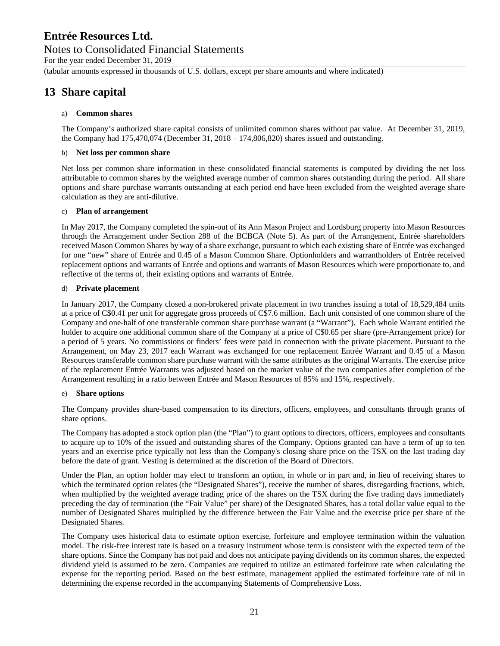# **Entrée Resources Ltd.**  Notes to Consolidated Financial Statements

For the year ended December 31, 2019

(tabular amounts expressed in thousands of U.S. dollars, except per share amounts and where indicated)

# **13 Share capital**

### a) **Common shares**

The Company's authorized share capital consists of unlimited common shares without par value. At December 31, 2019, the Company had 175,470,074 (December 31, 2018 – 174,806,820) shares issued and outstanding.

### b) **Net loss per common share**

Net loss per common share information in these consolidated financial statements is computed by dividing the net loss attributable to common shares by the weighted average number of common shares outstanding during the period. All share options and share purchase warrants outstanding at each period end have been excluded from the weighted average share calculation as they are anti-dilutive.

#### c) **Plan of arrangement**

In May 2017, the Company completed the spin-out of its Ann Mason Project and Lordsburg property into Mason Resources through the Arrangement under Section 288 of the BCBCA (Note 5). As part of the Arrangement, Entrée shareholders received Mason Common Shares by way of a share exchange, pursuant to which each existing share of Entrée was exchanged for one "new" share of Entrée and 0.45 of a Mason Common Share. Optionholders and warrantholders of Entrée received replacement options and warrants of Entrée and options and warrants of Mason Resources which were proportionate to, and reflective of the terms of, their existing options and warrants of Entrée.

### d) **Private placement**

In January 2017, the Company closed a non-brokered private placement in two tranches issuing a total of 18,529,484 units at a price of C\$0.41 per unit for aggregate gross proceeds of C\$7.6 million. Each unit consisted of one common share of the Company and one-half of one transferable common share purchase warrant (a "Warrant"). Each whole Warrant entitled the holder to acquire one additional common share of the Company at a price of C\$0.65 per share (pre-Arrangement price) for a period of 5 years. No commissions or finders' fees were paid in connection with the private placement. Pursuant to the Arrangement, on May 23, 2017 each Warrant was exchanged for one replacement Entrée Warrant and 0.45 of a Mason Resources transferable common share purchase warrant with the same attributes as the original Warrants. The exercise price of the replacement Entrée Warrants was adjusted based on the market value of the two companies after completion of the Arrangement resulting in a ratio between Entrée and Mason Resources of 85% and 15%, respectively.

#### e) **Share options**

The Company provides share-based compensation to its directors, officers, employees, and consultants through grants of share options.

The Company has adopted a stock option plan (the "Plan") to grant options to directors, officers, employees and consultants to acquire up to 10% of the issued and outstanding shares of the Company. Options granted can have a term of up to ten years and an exercise price typically not less than the Company's closing share price on the TSX on the last trading day before the date of grant. Vesting is determined at the discretion of the Board of Directors.

Under the Plan, an option holder may elect to transform an option, in whole or in part and, in lieu of receiving shares to which the terminated option relates (the "Designated Shares"), receive the number of shares, disregarding fractions, which, when multiplied by the weighted average trading price of the shares on the TSX during the five trading days immediately preceding the day of termination (the "Fair Value" per share) of the Designated Shares, has a total dollar value equal to the number of Designated Shares multiplied by the difference between the Fair Value and the exercise price per share of the Designated Shares.

The Company uses historical data to estimate option exercise, forfeiture and employee termination within the valuation model. The risk-free interest rate is based on a treasury instrument whose term is consistent with the expected term of the share options. Since the Company has not paid and does not anticipate paying dividends on its common shares, the expected dividend yield is assumed to be zero. Companies are required to utilize an estimated forfeiture rate when calculating the expense for the reporting period. Based on the best estimate, management applied the estimated forfeiture rate of nil in determining the expense recorded in the accompanying Statements of Comprehensive Loss.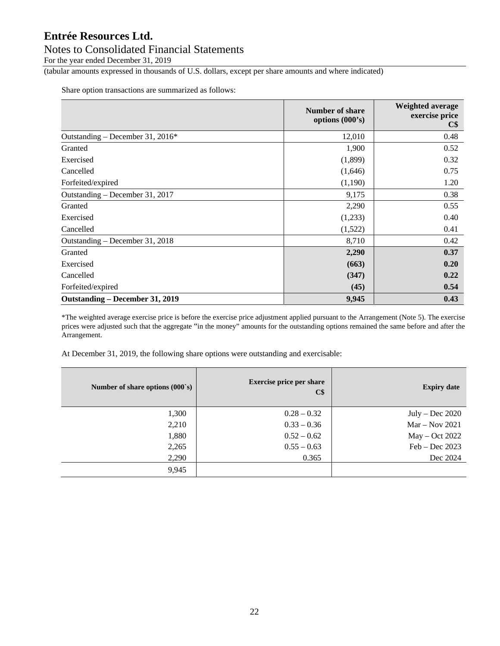# Notes to Consolidated Financial Statements

For the year ended December 31, 2019

(tabular amounts expressed in thousands of U.S. dollars, except per share amounts and where indicated)

|                                  | Number of share<br>options $(000's)$ | <b>Weighted average</b><br>exercise price<br>$\mathbf{C}\mathbf{\$}$ |
|----------------------------------|--------------------------------------|----------------------------------------------------------------------|
| Outstanding – December 31, 2016* | 12,010                               | 0.48                                                                 |
| Granted                          | 1,900                                | 0.52                                                                 |
| Exercised                        | (1,899)                              | 0.32                                                                 |
| Cancelled                        | (1,646)                              | 0.75                                                                 |
| Forfeited/expired                | (1,190)                              | 1.20                                                                 |
| Outstanding – December 31, 2017  | 9,175                                | 0.38                                                                 |
| Granted                          | 2,290                                | 0.55                                                                 |
| Exercised                        | (1,233)                              | 0.40                                                                 |
| Cancelled                        | (1,522)                              | 0.41                                                                 |
| Outstanding – December 31, 2018  | 8,710                                | 0.42                                                                 |
| Granted                          | 2,290                                | 0.37                                                                 |
| Exercised                        | (663)                                | 0.20                                                                 |
| Cancelled                        | (347)                                | 0.22                                                                 |
| Forfeited/expired                | (45)                                 | 0.54                                                                 |
| Outstanding – December 31, 2019  | 9,945                                | 0.43                                                                 |

Share option transactions are summarized as follows:

\*The weighted average exercise price is before the exercise price adjustment applied pursuant to the Arrangement (Note 5). The exercise prices were adjusted such that the aggregate "in the money" amounts for the outstanding options remained the same before and after the Arrangement.

At December 31, 2019, the following share options were outstanding and exercisable:

| Number of share options $(000 \text{ s})$ | <b>Exercise price per share</b><br>$\mathbf{C}\$$ | <b>Expiry date</b> |
|-------------------------------------------|---------------------------------------------------|--------------------|
| 1,300                                     | $0.28 - 0.32$                                     | July – Dec $2020$  |
| 2,210                                     | $0.33 - 0.36$                                     | $Mar - Nov 2021$   |
| 1,880                                     | $0.52 - 0.62$                                     | May - Oct 2022     |
| 2,265                                     | $0.55 - 0.63$                                     | $Feb - Dec 2023$   |
| 2,290                                     | 0.365                                             | Dec 2024           |
| 9,945                                     |                                                   |                    |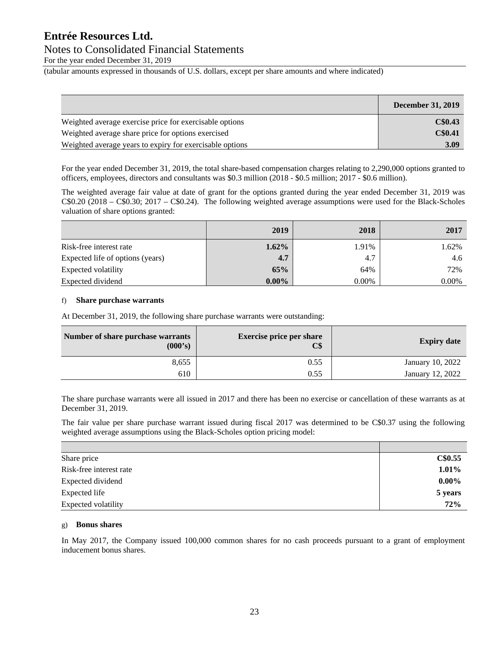### Notes to Consolidated Financial Statements

For the year ended December 31, 2019

(tabular amounts expressed in thousands of U.S. dollars, except per share amounts and where indicated)

|                                                          | <b>December 31, 2019</b> |
|----------------------------------------------------------|--------------------------|
| Weighted average exercise price for exercisable options  | C\$0.43                  |
| Weighted average share price for options exercised       | <b>C\$0.41</b>           |
| Weighted average years to expiry for exercisable options | 3.09                     |

For the year ended December 31, 2019, the total share-based compensation charges relating to 2,290,000 options granted to officers, employees, directors and consultants was \$0.3 million (2018 - \$0.5 million; 2017 - \$0.6 million).

The weighted average fair value at date of grant for the options granted during the year ended December 31, 2019 was C\$0.20 (2018 – C\$0.30; 2017 – C\$0.24). The following weighted average assumptions were used for the Black-Scholes valuation of share options granted:

|                                  | 2019     | 2018  | 2017     |
|----------------------------------|----------|-------|----------|
| Risk-free interest rate          | $1.62\%$ | 1.91% | 1.62%    |
| Expected life of options (years) | 4.7      | 4.7   | 4.6      |
| Expected volatility              | 65%      | 64%   | 72%      |
| Expected dividend                | $0.00\%$ | 0.00% | $0.00\%$ |

### f) **Share purchase warrants**

At December 31, 2019, the following share purchase warrants were outstanding:

| Number of share purchase warrants<br>(000's) | <b>Exercise price per share</b><br>C\$ | <b>Expiry date</b> |
|----------------------------------------------|----------------------------------------|--------------------|
| 8,655                                        | 0.55                                   | January 10, 2022   |
| 610                                          | 0.55                                   | January 12, 2022   |

The share purchase warrants were all issued in 2017 and there has been no exercise or cancellation of these warrants as at December 31, 2019.

The fair value per share purchase warrant issued during fiscal 2017 was determined to be C\$0.37 using the following weighted average assumptions using the Black-Scholes option pricing model:

| Share price             | C\$0.55  |
|-------------------------|----------|
| Risk-free interest rate | 1.01%    |
| Expected dividend       | $0.00\%$ |
| Expected life           | 5 years  |
| Expected volatility     | 72%      |

#### g) **Bonus shares**

In May 2017, the Company issued 100,000 common shares for no cash proceeds pursuant to a grant of employment inducement bonus shares.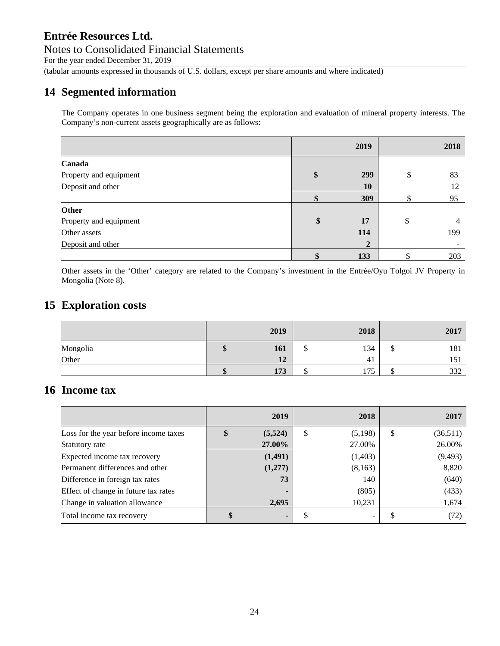### Notes to Consolidated Financial Statements

For the year ended December 31, 2019

(tabular amounts expressed in thousands of U.S. dollars, except per share amounts and where indicated)

# **14 Segmented information**

The Company operates in one business segment being the exploration and evaluation of mineral property interests. The Company's non-current assets geographically are as follows:

|                        | 2019           |    | 2018 |
|------------------------|----------------|----|------|
| Canada                 |                |    |      |
| Property and equipment | \$<br>299      | \$ | 83   |
| Deposit and other      | <b>10</b>      |    | 12   |
|                        | 309            | Φ  | 95   |
| Other                  |                |    |      |
| Property and equipment | \$<br>17       | \$ | 4    |
| Other assets           | 114            |    | 199  |
| Deposit and other      | $\overline{2}$ |    |      |
|                        | 133            |    | 203  |

Other assets in the 'Other' category are related to the Company's investment in the Entrée/Oyu Tolgoi JV Property in Mongolia (Note 8).

# **15 Exploration costs**

|          |    | 2019 |   | 2018 |                    | 2017 |
|----------|----|------|---|------|--------------------|------|
| Mongolia | ւք | 161  | ω | 134  | $\triangle$<br>ND. | 181  |
| Other    |    | 12   |   | 41   |                    | 151  |
|          |    | 173  |   | 175  |                    | 332  |

# **16 Income tax**

|                                       |    | 2019     |   | 2018    |   | 2017     |
|---------------------------------------|----|----------|---|---------|---|----------|
| Loss for the year before income taxes | \$ | (5,524)  | S | (5,198) | S | (36,511) |
| Statutory rate                        |    | 27.00%   |   | 27.00%  |   | 26.00%   |
| Expected income tax recovery          |    | (1, 491) |   | (1,403) |   | (9, 493) |
| Permanent differences and other       |    | (1,277)  |   | (8,163) |   | 8,820    |
| Difference in foreign tax rates       |    | 73       |   | 140     |   | (640)    |
| Effect of change in future tax rates  |    |          |   | (805)   |   | (433)    |
| Change in valuation allowance         |    | 2,695    |   | 10,231  |   | 1,674    |
| Total income tax recovery             | Φ  |          |   |         |   | (72)     |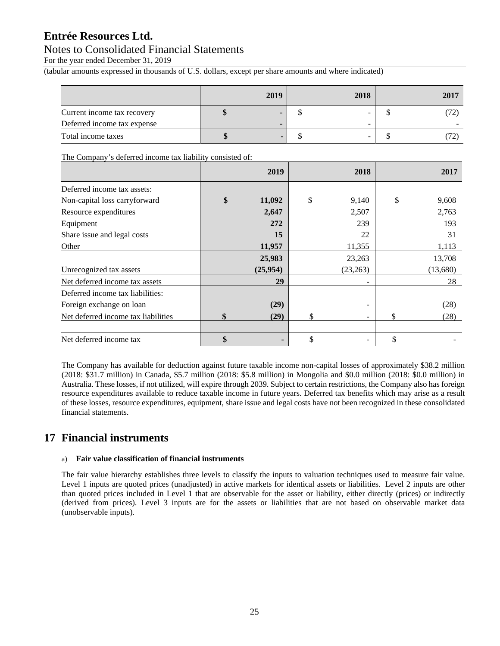### Notes to Consolidated Financial Statements

For the year ended December 31, 2019

(tabular amounts expressed in thousands of U.S. dollars, except per share amounts and where indicated)

|                             | 2019 | 2018 | 2017 |
|-----------------------------|------|------|------|
| Current income tax recovery | -    |      | 72)  |
| Deferred income tax expense |      |      |      |
| Total income taxes          | -    | -    | 72   |

The Company's deferred income tax liability consisted of:

|                                     | 2019         | 2018        | 2017        |
|-------------------------------------|--------------|-------------|-------------|
| Deferred income tax assets:         |              |             |             |
| Non-capital loss carryforward       | \$<br>11,092 | \$<br>9,140 | \$<br>9,608 |
| Resource expenditures               | 2,647        | 2,507       | 2,763       |
| Equipment                           | 272          | 239         | 193         |
| Share issue and legal costs         | 15           | 22          | 31          |
| Other                               | 11,957       | 11,355      | 1,113       |
|                                     | 25,983       | 23,263      | 13,708      |
| Unrecognized tax assets             | (25,954)     | (23, 263)   | (13,680)    |
| Net deferred income tax assets      | 29           | -           | 28          |
| Deferred income tax liabilities:    |              |             |             |
| Foreign exchange on loan            | (29)         |             | (28)        |
| Net deferred income tax liabilities | \$<br>(29)   | \$          | \$<br>(28)  |
|                                     |              |             |             |
| Net deferred income tax             | \$           | \$          | \$          |

The Company has available for deduction against future taxable income non-capital losses of approximately \$38.2 million (2018: \$31.7 million) in Canada, \$5.7 million (2018: \$5.8 million) in Mongolia and \$0.0 million (2018: \$0.0 million) in Australia. These losses, if not utilized, will expire through 2039. Subject to certain restrictions, the Company also has foreign resource expenditures available to reduce taxable income in future years. Deferred tax benefits which may arise as a result of these losses, resource expenditures, equipment, share issue and legal costs have not been recognized in these consolidated financial statements.

# **17 Financial instruments**

### a) **Fair value classification of financial instruments**

The fair value hierarchy establishes three levels to classify the inputs to valuation techniques used to measure fair value. Level 1 inputs are quoted prices (unadjusted) in active markets for identical assets or liabilities. Level 2 inputs are other than quoted prices included in Level 1 that are observable for the asset or liability, either directly (prices) or indirectly (derived from prices). Level 3 inputs are for the assets or liabilities that are not based on observable market data (unobservable inputs).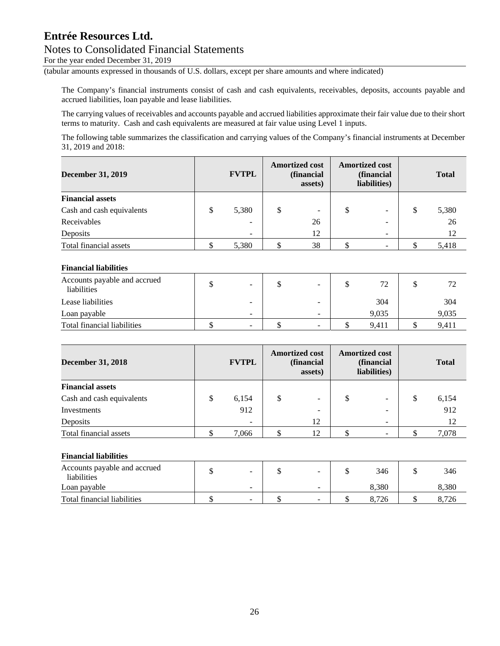# **Entrée Resources Ltd.**  Notes to Consolidated Financial Statements

For the year ended December 31, 2019

(tabular amounts expressed in thousands of U.S. dollars, except per share amounts and where indicated)

The Company's financial instruments consist of cash and cash equivalents, receivables, deposits, accounts payable and accrued liabilities, loan payable and lease liabilities.

The carrying values of receivables and accounts payable and accrued liabilities approximate their fair value due to their short terms to maturity. Cash and cash equivalents are measured at fair value using Level 1 inputs.

The following table summarizes the classification and carrying values of the Company's financial instruments at December 31, 2019 and 2018:

| <b>December 31, 2019</b>  | <b>FVTPL</b> |                          | <b>Amortized cost</b><br>(financial<br>assets) |    | <b>Amortized cost</b><br>(financial<br>liabilities) |                          | <b>Total</b> |
|---------------------------|--------------|--------------------------|------------------------------------------------|----|-----------------------------------------------------|--------------------------|--------------|
| <b>Financial assets</b>   |              |                          |                                                |    |                                                     |                          |              |
| Cash and cash equivalents | \$           | 5,380                    | \$                                             | -  |                                                     | $\overline{\phantom{0}}$ | \$<br>5,380  |
| Receivables               |              | $\overline{\phantom{a}}$ |                                                | 26 |                                                     |                          | 26           |
| Deposits                  |              |                          |                                                | 12 |                                                     |                          | 12           |
| Total financial assets    |              | 5,380                    |                                                | 38 |                                                     | -                        | 5,418        |

### **Financial liabilities**

| Accounts payable and accrued<br>liabilities | -                        | -                        | 72    | 72    |
|---------------------------------------------|--------------------------|--------------------------|-------|-------|
| Lease liabilities                           | $\overline{\phantom{0}}$ | -                        | 304   | 304   |
| Loan payable                                | $\sim$                   | $\sim$                   | 9.035 | 9,035 |
| Total financial liabilities                 | $\overline{\phantom{a}}$ | $\overline{\phantom{0}}$ | 9.411 | 9.411 |

| <b>December 31, 2018</b>  | <b>FVTPL</b> | <b>Amortized cost</b><br><b>Amortized cost</b><br>(financial<br>(financial<br>liabilities)<br>assets) |                          |   | <b>Total</b> |       |
|---------------------------|--------------|-------------------------------------------------------------------------------------------------------|--------------------------|---|--------------|-------|
| <b>Financial assets</b>   |              |                                                                                                       |                          |   |              |       |
| Cash and cash equivalents | \$<br>6,154  | \$                                                                                                    | $\overline{\phantom{0}}$ | ٠ | S            | 6,154 |
| Investments               | 912          |                                                                                                       | ۰                        | - |              | 912   |
| Deposits                  | -            |                                                                                                       | 12                       | - |              | 12    |
| Total financial assets    | 7.066        |                                                                                                       | 12                       | ۰ |              | 7.078 |

### **Financial liabilities**

| Accounts payable and accrued<br>liabilities |   | $\overline{\phantom{0}}$ | 346   | 346   |
|---------------------------------------------|---|--------------------------|-------|-------|
| Loan payable                                | - | -                        | 8.380 | 8.380 |
| Total financial liabilities                 |   | -                        | 8.726 | 8.726 |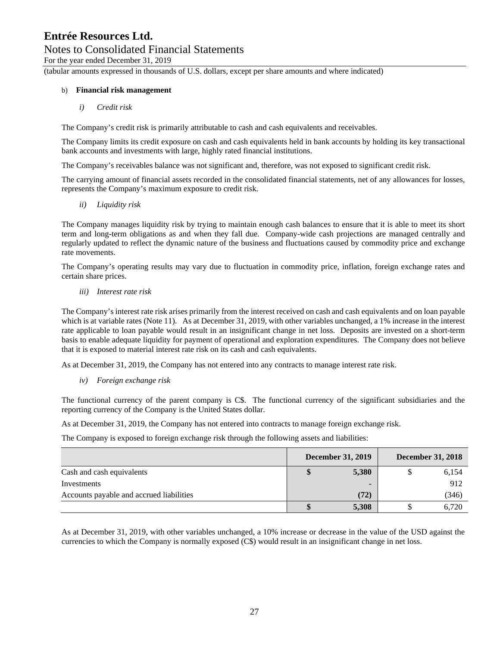(tabular amounts expressed in thousands of U.S. dollars, except per share amounts and where indicated)

### b) **Financial risk management**

*i) Credit risk* 

The Company's credit risk is primarily attributable to cash and cash equivalents and receivables.

The Company limits its credit exposure on cash and cash equivalents held in bank accounts by holding its key transactional bank accounts and investments with large, highly rated financial institutions.

The Company's receivables balance was not significant and, therefore, was not exposed to significant credit risk.

The carrying amount of financial assets recorded in the consolidated financial statements, net of any allowances for losses, represents the Company's maximum exposure to credit risk.

*ii) Liquidity risk* 

The Company manages liquidity risk by trying to maintain enough cash balances to ensure that it is able to meet its short term and long-term obligations as and when they fall due. Company-wide cash projections are managed centrally and regularly updated to reflect the dynamic nature of the business and fluctuations caused by commodity price and exchange rate movements.

The Company's operating results may vary due to fluctuation in commodity price, inflation, foreign exchange rates and certain share prices.

*iii) Interest rate risk* 

The Company's interest rate risk arises primarily from the interest received on cash and cash equivalents and on loan payable which is at variable rates (Note 11). As at December 31, 2019, with other variables unchanged, a 1% increase in the interest rate applicable to loan payable would result in an insignificant change in net loss. Deposits are invested on a short-term basis to enable adequate liquidity for payment of operational and exploration expenditures. The Company does not believe that it is exposed to material interest rate risk on its cash and cash equivalents.

As at December 31, 2019, the Company has not entered into any contracts to manage interest rate risk.

*iv) Foreign exchange risk* 

The functional currency of the parent company is C\$. The functional currency of the significant subsidiaries and the reporting currency of the Company is the United States dollar.

As at December 31, 2019, the Company has not entered into contracts to manage foreign exchange risk.

The Company is exposed to foreign exchange risk through the following assets and liabilities:

|                                          | <b>December 31, 2019</b> | <b>December 31, 2018</b> |
|------------------------------------------|--------------------------|--------------------------|
| Cash and cash equivalents                | 5,380                    | 6,154                    |
| Investments                              |                          | 912                      |
| Accounts payable and accrued liabilities | (72)                     | (346)                    |
|                                          | 5,308                    | 6.720                    |

As at December 31, 2019, with other variables unchanged, a 10% increase or decrease in the value of the USD against the currencies to which the Company is normally exposed (C\$) would result in an insignificant change in net loss.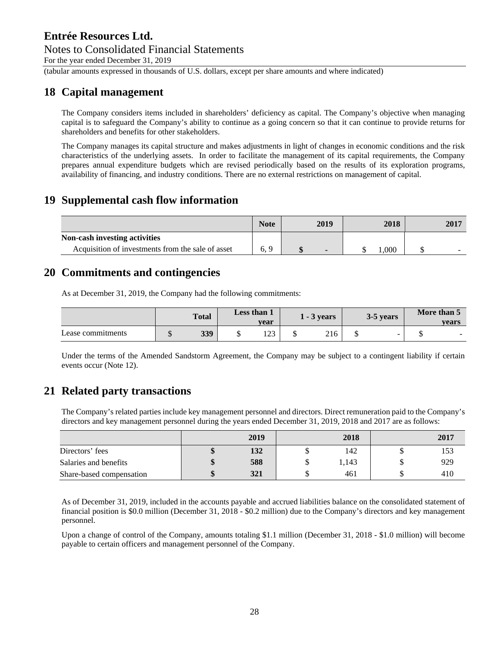Notes to Consolidated Financial Statements For the year ended December 31, 2019

(tabular amounts expressed in thousands of U.S. dollars, except per share amounts and where indicated)

# **18 Capital management**

The Company considers items included in shareholders' deficiency as capital. The Company's objective when managing capital is to safeguard the Company's ability to continue as a going concern so that it can continue to provide returns for shareholders and benefits for other stakeholders.

The Company manages its capital structure and makes adjustments in light of changes in economic conditions and the risk characteristics of the underlying assets. In order to facilitate the management of its capital requirements, the Company prepares annual expenditure budgets which are revised periodically based on the results of its exploration programs, availability of financing, and industry conditions. There are no external restrictions on management of capital.

# **19 Supplemental cash flow information**

|                                                   | <b>Note</b> | 2019 | 2018 | 2017 |
|---------------------------------------------------|-------------|------|------|------|
| Non-cash investing activities                     |             |      |      |      |
| Acquisition of investments from the sale of asset |             |      | .000 |      |

# **20 Commitments and contingencies**

As at December 31, 2019, the Company had the following commitments:

|                   |   | <b>Total</b> | Less than 1<br>vear | $-3$ vears | 3-5 years |   | More than 5<br>vears     |
|-------------------|---|--------------|---------------------|------------|-----------|---|--------------------------|
| Lease commitments | ω | 339          | $\sim$<br>ل کے 1    | 216        | -         | Φ | $\overline{\phantom{a}}$ |

Under the terms of the Amended Sandstorm Agreement, the Company may be subject to a contingent liability if certain events occur (Note 12).

# **21 Related party transactions**

The Company's related parties include key management personnel and directors. Direct remuneration paid to the Company's directors and key management personnel during the years ended December 31, 2019, 2018 and 2017 are as follows:

|                          |    | 2019 | 2018  | 2017 |
|--------------------------|----|------|-------|------|
| Directors' fees          | ۱D | 132  | 142   | 153  |
| Salaries and benefits    | \$ | 588  | 1,143 | 929  |
| Share-based compensation | \$ | 321  | 461   | 410  |

As of December 31, 2019, included in the accounts payable and accrued liabilities balance on the consolidated statement of financial position is \$0.0 million (December 31, 2018 - \$0.2 million) due to the Company's directors and key management personnel.

Upon a change of control of the Company, amounts totaling \$1.1 million (December 31, 2018 - \$1.0 million) will become payable to certain officers and management personnel of the Company.